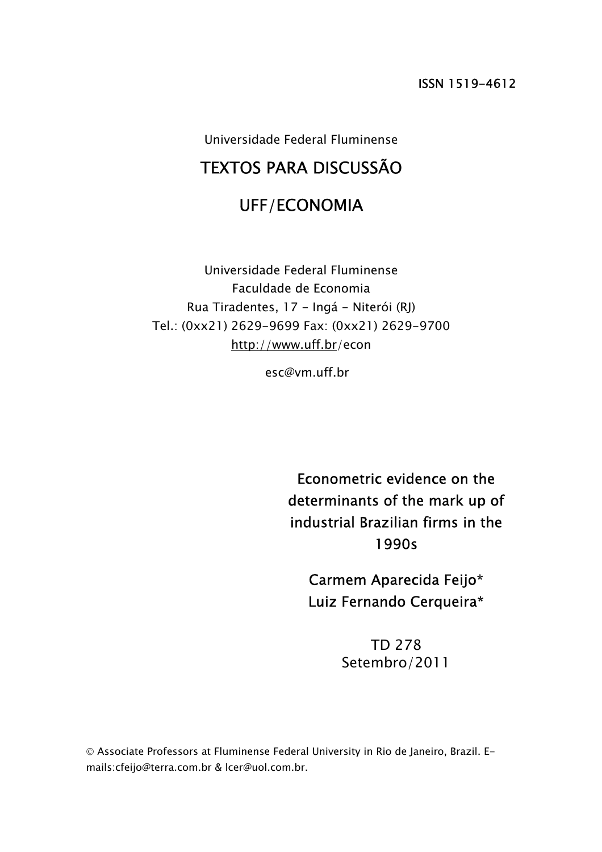Universidade Federal Fluminense

## TEXTOS PARA DISCUSSÃO

## UFF/ECONOMIA

Universidade Federal Fluminense Faculdade de Economia Rua Tiradentes, 17 - Ingá - Niterói (RJ) Tel.: (0xx21) 2629-9699 Fax: (0xx21) 2629-9700 http://www.uff.br/econ

esc@vm.uff.br

Econometric evidence on the determinants of the mark up of industrial Brazilian firms in the 1990s

Carmem Aparecida Feijo\* Luiz Fernando Cerqueira\*

> TD 278 Setembro/2011

© Associate Professors at Fluminense Federal University in Rio de Janeiro, Brazil. Emails:cfeijo@terra.com.br & lcer@uol.com.br.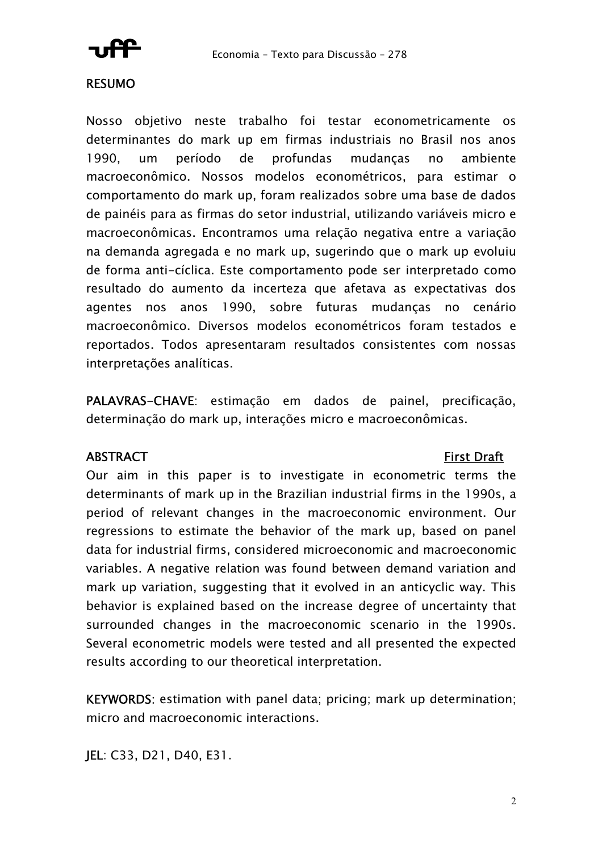

### RESUMO

Nosso objetivo neste trabalho foi testar econometricamente os determinantes do mark up em firmas industriais no Brasil nos anos 1990, um período de profundas mudanças no ambiente macroeconômico. Nossos modelos econométricos, para estimar o comportamento do mark up, foram realizados sobre uma base de dados de painéis para as firmas do setor industrial, utilizando variáveis micro e macroeconômicas. Encontramos uma relação negativa entre a variação na demanda agregada e no mark up, sugerindo que o mark up evoluiu de forma anti-cíclica. Este comportamento pode ser interpretado como resultado do aumento da incerteza que afetava as expectativas dos agentes nos anos 1990, sobre futuras mudanças no cenário macroeconômico. Diversos modelos econométricos foram testados e reportados. Todos apresentaram resultados consistentes com nossas interpretações analíticas.

PALAVRAS-CHAVE: estimação em dados de painel, precificação, determinação do mark up, interações micro e macroeconômicas.

### ABSTRACT First Draft

Our aim in this paper is to investigate in econometric terms the determinants of mark up in the Brazilian industrial firms in the 1990s, a period of relevant changes in the macroeconomic environment. Our regressions to estimate the behavior of the mark up, based on panel data for industrial firms, considered microeconomic and macroeconomic variables. A negative relation was found between demand variation and mark up variation, suggesting that it evolved in an anticyclic way. This behavior is explained based on the increase degree of uncertainty that surrounded changes in the macroeconomic scenario in the 1990s. Several econometric models were tested and all presented the expected results according to our theoretical interpretation.

KEYWORDS: estimation with panel data; pricing; mark up determination; micro and macroeconomic interactions.

JEL: C33, D21, D40, E31.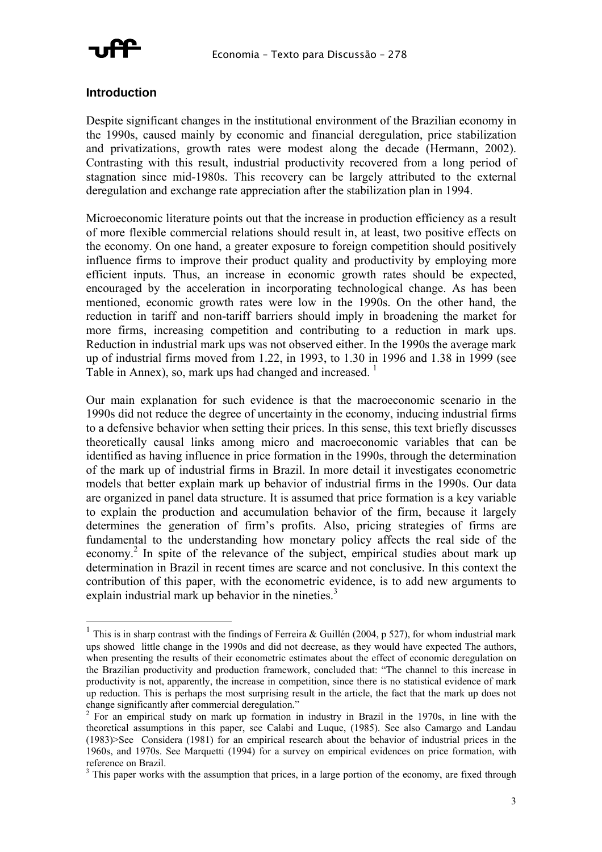

#### **Introduction**

 $\overline{a}$ 

Despite significant changes in the institutional environment of the Brazilian economy in the 1990s, caused mainly by economic and financial deregulation, price stabilization and privatizations, growth rates were modest along the decade (Hermann, 2002). Contrasting with this result, industrial productivity recovered from a long period of stagnation since mid-1980s. This recovery can be largely attributed to the external deregulation and exchange rate appreciation after the stabilization plan in 1994.

Microeconomic literature points out that the increase in production efficiency as a result of more flexible commercial relations should result in, at least, two positive effects on the economy. On one hand, a greater exposure to foreign competition should positively influence firms to improve their product quality and productivity by employing more efficient inputs. Thus, an increase in economic growth rates should be expected, encouraged by the acceleration in incorporating technological change. As has been mentioned, economic growth rates were low in the 1990s. On the other hand, the reduction in tariff and non-tariff barriers should imply in broadening the market for more firms, increasing competition and contributing to a reduction in mark ups. Reduction in industrial mark ups was not observed either. In the 1990s the average mark up of industrial firms moved from 1.22, in 1993, to 1.30 in 1996 and 1.38 in 1999 (see Table in Annex), so, mark ups had changed and increased.  $<sup>1</sup>$ </sup>

Our main explanation for such evidence is that the macroeconomic scenario in the 1990s did not reduce the degree of uncertainty in the economy, inducing industrial firms to a defensive behavior when setting their prices. In this sense, this text briefly discusses theoretically causal links among micro and macroeconomic variables that can be identified as having influence in price formation in the 1990s, through the determination of the mark up of industrial firms in Brazil. In more detail it investigates econometric models that better explain mark up behavior of industrial firms in the 1990s. Our data are organized in panel data structure. It is assumed that price formation is a key variable to explain the production and accumulation behavior of the firm, because it largely determines the generation of firm's profits. Also, pricing strategies of firms are fundamental to the understanding how monetary policy affects the real side of the economy.<sup>2</sup> In spite of the relevance of the subject, empirical studies about mark up determination in Brazil in recent times are scarce and not conclusive. In this context the contribution of this paper, with the econometric evidence, is to add new arguments to explain industrial mark up behavior in the nineties.<sup>3</sup>

<sup>&</sup>lt;sup>1</sup> This is in sharp contrast with the findings of Ferreira & Guillén (2004, p 527), for whom industrial mark ups showed little change in the 1990s and did not decrease, as they would have expected The authors, when presenting the results of their econometric estimates about the effect of economic deregulation on the Brazilian productivity and production framework, concluded that: "The channel to this increase in productivity is not, apparently, the increase in competition, since there is no statistical evidence of mark up reduction. This is perhaps the most surprising result in the article, the fact that the mark up does not change significantly after commercial deregulation." <sup>2</sup>

 $\frac{2}{1}$  For an empirical study on mark up formation in industry in Brazil in the 1970s, in line with the theoretical assumptions in this paper, see Calabi and Luque, (1985). See also Camargo and Landau (1983)>See Considera (1981) for an empirical research about the behavior of industrial prices in the 1960s, and 1970s. See Marquetti (1994) for a survey on empirical evidences on price formation, with reference on Brazil.

 $3$  This paper works with the assumption that prices, in a large portion of the economy, are fixed through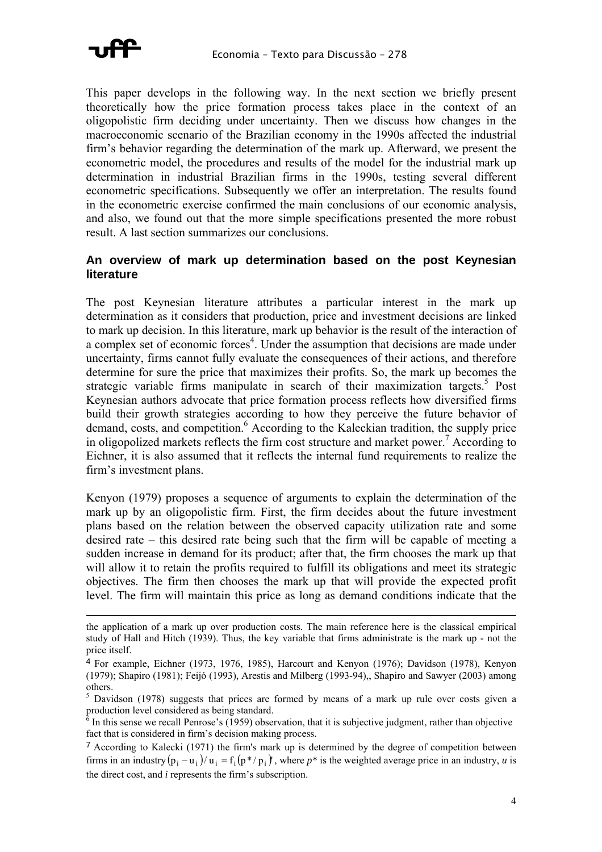

1

This paper develops in the following way. In the next section we briefly present theoretically how the price formation process takes place in the context of an oligopolistic firm deciding under uncertainty. Then we discuss how changes in the macroeconomic scenario of the Brazilian economy in the 1990s affected the industrial firm's behavior regarding the determination of the mark up. Afterward, we present the econometric model, the procedures and results of the model for the industrial mark up determination in industrial Brazilian firms in the 1990s, testing several different econometric specifications. Subsequently we offer an interpretation. The results found in the econometric exercise confirmed the main conclusions of our economic analysis, and also, we found out that the more simple specifications presented the more robust result. A last section summarizes our conclusions.

#### **An overview of mark up determination based on the post Keynesian literature**

The post Keynesian literature attributes a particular interest in the mark up determination as it considers that production, price and investment decisions are linked to mark up decision. In this literature, mark up behavior is the result of the interaction of a complex set of economic forces<sup>4</sup>. Under the assumption that decisions are made under uncertainty, firms cannot fully evaluate the consequences of their actions, and therefore determine for sure the price that maximizes their profits. So, the mark up becomes the strategic variable firms manipulate in search of their maximization targets.<sup>5</sup> Post Keynesian authors advocate that price formation process reflects how diversified firms build their growth strategies according to how they perceive the future behavior of demand, costs, and competition.<sup>6</sup> According to the Kaleckian tradition, the supply price in oligopolized markets reflects the firm cost structure and market power.<sup>7</sup> According to Eichner, it is also assumed that it reflects the internal fund requirements to realize the firm's investment plans.

Kenyon (1979) proposes a sequence of arguments to explain the determination of the mark up by an oligopolistic firm. First, the firm decides about the future investment plans based on the relation between the observed capacity utilization rate and some desired rate – this desired rate being such that the firm will be capable of meeting a sudden increase in demand for its product; after that, the firm chooses the mark up that will allow it to retain the profits required to fulfill its obligations and meet its strategic objectives. The firm then chooses the mark up that will provide the expected profit level. The firm will maintain this price as long as demand conditions indicate that the

the application of a mark up over production costs. The main reference here is the classical empirical study of Hall and Hitch (1939). Thus, the key variable that firms administrate is the mark up - not the price itself.

<sup>4</sup> For example, Eichner (1973, 1976, 1985), Harcourt and Kenyon (1976); Davidson (1978), Kenyon (1979); Shapiro (1981); Feijó (1993), Arestis and Milberg (1993-94),, Shapiro and Sawyer (2003) among others.

 $5$  Davidson (1978) suggests that prices are formed by means of a mark up rule over costs given a production level considered as being standard.<br> $\frac{6}{5}$  In this sec.

In this sense we recall Penrose's (1959) observation, that it is subjective judgment, rather than objective fact that is considered in firm's decision making process.

firms in an industry  $(p_i - u_i)/u_i = f_i(p^*/p_i)$ , where  $p^*$  is the weighted average price in an industry, *u* is <sup>7</sup> According to Kalecki (1971) the firm's mark up is determined by the degree of competition between the direct cost, and *i* represents the firm's subscription.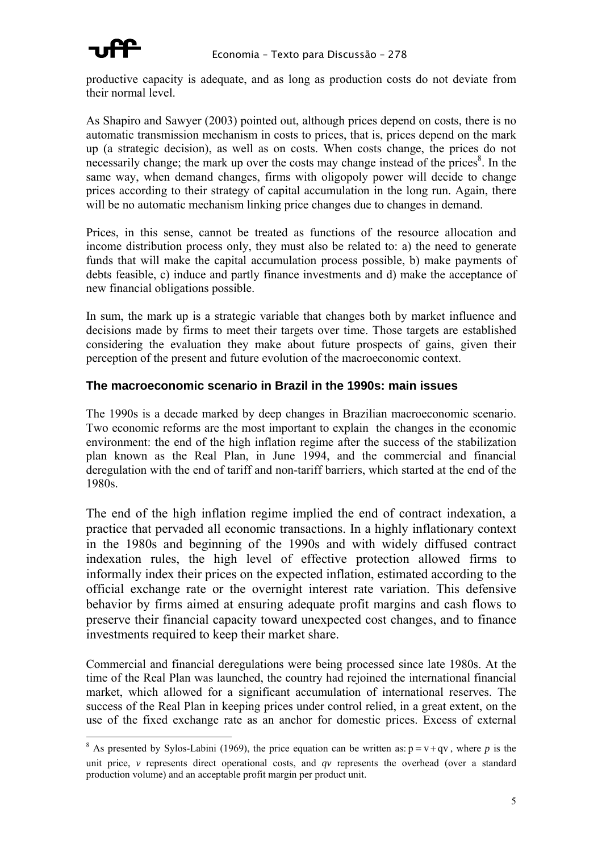productive capacity is adequate, and as long as production costs do not deviate from their normal level.

As Shapiro and Sawyer (2003) pointed out, although prices depend on costs, there is no automatic transmission mechanism in costs to prices, that is, prices depend on the mark up (a strategic decision), as well as on costs. When costs change, the prices do not necessarily change; the mark up over the costs may change instead of the prices<sup>8</sup>. In the same way, when demand changes, firms with oligopoly power will decide to change prices according to their strategy of capital accumulation in the long run. Again, there will be no automatic mechanism linking price changes due to changes in demand.

Prices, in this sense, cannot be treated as functions of the resource allocation and income distribution process only, they must also be related to: a) the need to generate funds that will make the capital accumulation process possible, b) make payments of debts feasible, c) induce and partly finance investments and d) make the acceptance of new financial obligations possible.

In sum, the mark up is a strategic variable that changes both by market influence and decisions made by firms to meet their targets over time. Those targets are established considering the evaluation they make about future prospects of gains, given their perception of the present and future evolution of the macroeconomic context.

#### **The macroeconomic scenario in Brazil in the 1990s: main issues**

The 1990s is a decade marked by deep changes in Brazilian macroeconomic scenario. Two economic reforms are the most important to explain the changes in the economic environment: the end of the high inflation regime after the success of the stabilization plan known as the Real Plan, in June 1994, and the commercial and financial deregulation with the end of tariff and non-tariff barriers, which started at the end of the 1980s.

The end of the high inflation regime implied the end of contract indexation, a practice that pervaded all economic transactions. In a highly inflationary context in the 1980s and beginning of the 1990s and with widely diffused contract indexation rules, the high level of effective protection allowed firms to informally index their prices on the expected inflation, estimated according to the official exchange rate or the overnight interest rate variation. This defensive behavior by firms aimed at ensuring adequate profit margins and cash flows to preserve their financial capacity toward unexpected cost changes, and to finance investments required to keep their market share.

Commercial and financial deregulations were being processed since late 1980s. At the time of the Real Plan was launched, the country had rejoined the international financial market, which allowed for a significant accumulation of international reserves. The success of the Real Plan in keeping prices under control relied, in a great extent, on the use of the fixed exchange rate as an anchor for domestic prices. Excess of external

<sup>&</sup>lt;sup>8</sup> As presented by Sylos-Labini (1969), the price equation can be written as:  $p = v + qv$ , where *p* is the unit price, *v* represents direct operational costs, and *qv* represents the overhead (over a standard production volume) and an acceptable profit margin per product unit.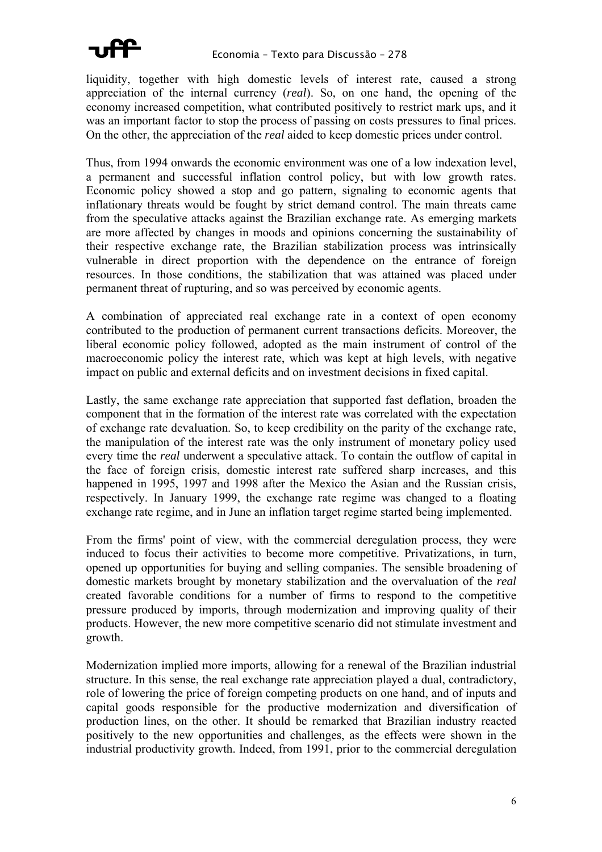

liquidity, together with high domestic levels of interest rate, caused a strong appreciation of the internal currency (*real*). So, on one hand, the opening of the economy increased competition, what contributed positively to restrict mark ups, and it was an important factor to stop the process of passing on costs pressures to final prices. On the other, the appreciation of the *real* aided to keep domestic prices under control.

Thus, from 1994 onwards the economic environment was one of a low indexation level, a permanent and successful inflation control policy, but with low growth rates. Economic policy showed a stop and go pattern, signaling to economic agents that inflationary threats would be fought by strict demand control. The main threats came from the speculative attacks against the Brazilian exchange rate. As emerging markets are more affected by changes in moods and opinions concerning the sustainability of their respective exchange rate, the Brazilian stabilization process was intrinsically vulnerable in direct proportion with the dependence on the entrance of foreign resources. In those conditions, the stabilization that was attained was placed under permanent threat of rupturing, and so was perceived by economic agents.

A combination of appreciated real exchange rate in a context of open economy contributed to the production of permanent current transactions deficits. Moreover, the liberal economic policy followed, adopted as the main instrument of control of the macroeconomic policy the interest rate, which was kept at high levels, with negative impact on public and external deficits and on investment decisions in fixed capital.

Lastly, the same exchange rate appreciation that supported fast deflation, broaden the component that in the formation of the interest rate was correlated with the expectation of exchange rate devaluation. So, to keep credibility on the parity of the exchange rate, the manipulation of the interest rate was the only instrument of monetary policy used every time the *real* underwent a speculative attack. To contain the outflow of capital in the face of foreign crisis, domestic interest rate suffered sharp increases, and this happened in 1995, 1997 and 1998 after the Mexico the Asian and the Russian crisis, respectively. In January 1999, the exchange rate regime was changed to a floating exchange rate regime, and in June an inflation target regime started being implemented.

From the firms' point of view, with the commercial deregulation process, they were induced to focus their activities to become more competitive. Privatizations, in turn, opened up opportunities for buying and selling companies. The sensible broadening of domestic markets brought by monetary stabilization and the overvaluation of the *real* created favorable conditions for a number of firms to respond to the competitive pressure produced by imports, through modernization and improving quality of their products. However, the new more competitive scenario did not stimulate investment and growth.

Modernization implied more imports, allowing for a renewal of the Brazilian industrial structure. In this sense, the real exchange rate appreciation played a dual, contradictory, role of lowering the price of foreign competing products on one hand, and of inputs and capital goods responsible for the productive modernization and diversification of production lines, on the other. It should be remarked that Brazilian industry reacted positively to the new opportunities and challenges, as the effects were shown in the industrial productivity growth. Indeed, from 1991, prior to the commercial deregulation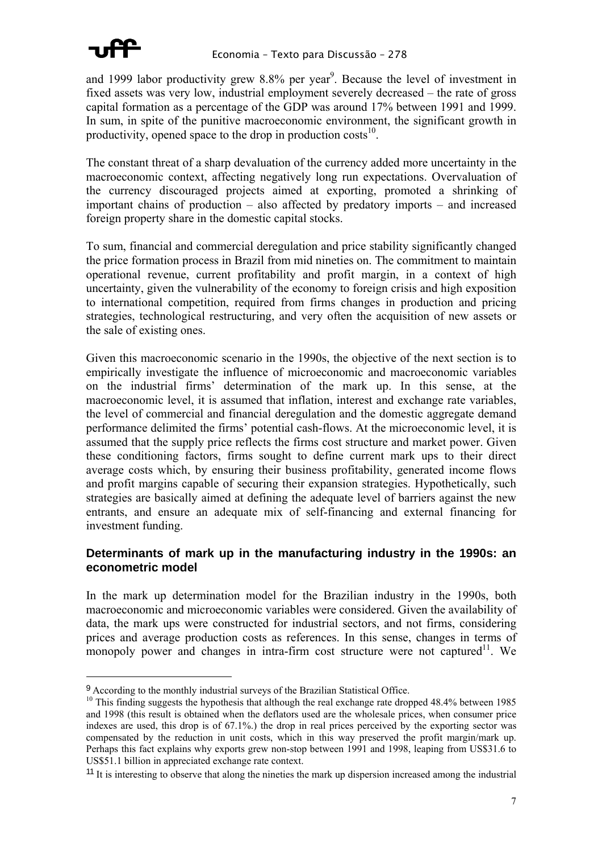

and 1999 labor productivity grew 8.8% per year<sup>9</sup>. Because the level of investment in fixed assets was very low, industrial employment severely decreased – the rate of gross capital formation as a percentage of the GDP was around 17% between 1991 and 1999. In sum, in spite of the punitive macroeconomic environment, the significant growth in productivity, opened space to the drop in production  $costs<sup>10</sup>$ .

The constant threat of a sharp devaluation of the currency added more uncertainty in the macroeconomic context, affecting negatively long run expectations. Overvaluation of the currency discouraged projects aimed at exporting, promoted a shrinking of important chains of production – also affected by predatory imports – and increased foreign property share in the domestic capital stocks.

To sum, financial and commercial deregulation and price stability significantly changed the price formation process in Brazil from mid nineties on. The commitment to maintain operational revenue, current profitability and profit margin, in a context of high uncertainty, given the vulnerability of the economy to foreign crisis and high exposition to international competition, required from firms changes in production and pricing strategies, technological restructuring, and very often the acquisition of new assets or the sale of existing ones.

Given this macroeconomic scenario in the 1990s, the objective of the next section is to empirically investigate the influence of microeconomic and macroeconomic variables on the industrial firms' determination of the mark up. In this sense, at the macroeconomic level, it is assumed that inflation, interest and exchange rate variables, the level of commercial and financial deregulation and the domestic aggregate demand performance delimited the firms' potential cash-flows. At the microeconomic level, it is assumed that the supply price reflects the firms cost structure and market power. Given these conditioning factors, firms sought to define current mark ups to their direct average costs which, by ensuring their business profitability, generated income flows and profit margins capable of securing their expansion strategies. Hypothetically, such strategies are basically aimed at defining the adequate level of barriers against the new entrants, and ensure an adequate mix of self-financing and external financing for investment funding.

### **Determinants of mark up in the manufacturing industry in the 1990s: an econometric model**

In the mark up determination model for the Brazilian industry in the 1990s, both macroeconomic and microeconomic variables were considered. Given the availability of data, the mark ups were constructed for industrial sectors, and not firms, considering prices and average production costs as references. In this sense, changes in terms of monopoly power and changes in intra-firm cost structure were not captured<sup>11</sup>. We

 $9$  According to the monthly industrial surveys of the Brazilian Statistical Office.<br><sup>10</sup> This finding suggests the hypothesis that although the real exchange rate dropped 48.4% between 1985 and 1998 (this result is obtained when the deflators used are the wholesale prices, when consumer price indexes are used, this drop is of 67.1%.) the drop in real prices perceived by the exporting sector was compensated by the reduction in unit costs, which in this way preserved the profit margin/mark up. Perhaps this fact explains why exports grew non-stop between 1991 and 1998, leaping from US\$31.6 to US\$51.1 billion in appreciated exchange rate context.

<sup>&</sup>lt;sup>11</sup> It is interesting to observe that along the nineties the mark up dispersion increased among the industrial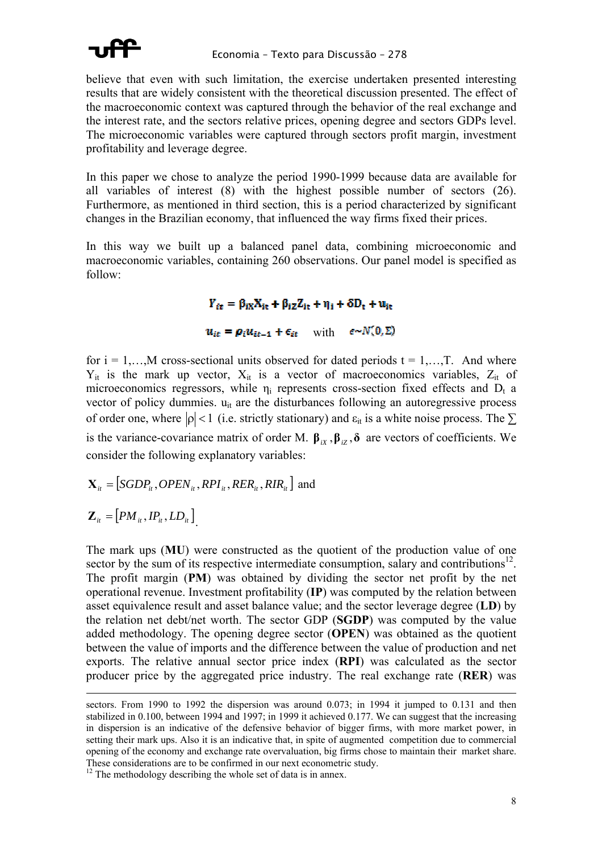

believe that even with such limitation, the exercise undertaken presented interesting results that are widely consistent with the theoretical discussion presented. The effect of the macroeconomic context was captured through the behavior of the real exchange and the interest rate, and the sectors relative prices, opening degree and sectors GDPs level. The microeconomic variables were captured through sectors profit margin, investment profitability and leverage degree.

In this paper we chose to analyze the period 1990-1999 because data are available for all variables of interest (8) with the highest possible number of sectors (26). Furthermore, as mentioned in third section, this is a period characterized by significant changes in the Brazilian economy, that influenced the way firms fixed their prices.

In this way we built up a balanced panel data, combining microeconomic and macroeconomic variables, containing 260 observations. Our panel model is specified as follow:

 $Y_{it} = \beta_{iX}X_{it} + \beta_{iZ}Z_{it} + \eta_i + \delta D_t + u_{it}$ 

 $u_{it} = \rho_i u_{it-1} + \epsilon_{it}$  with  $\epsilon \sim N(0, \Sigma)$ 

for  $i = 1,...,M$  cross-sectional units observed for dated periods  $t = 1,...,T$ . And where  $Y_{it}$  is the mark up vector,  $X_{it}$  is a vector of macroeconomics variables,  $Z_{it}$  of microeconomics regressors, while  $\eta_i$  represents cross-section fixed effects and  $D_t$  a vector of policy dummies. u<sub>it</sub> are the disturbances following an autoregressive process of order one, where  $|\rho| < 1$  (i.e. strictly stationary) and  $\varepsilon_{it}$  is a white noise process. The  $\Sigma$ is the variance-covariance matrix of order M.  $\beta_{iX}$ ,  $\beta_{iZ}$ ,  $\delta$  are vectors of coefficients. We consider the following explanatory variables:

$$
\mathbf{X}_{it} = [SGDP_{it}, OPEN_{it}, RPI_{it}, RER_{it}, RIR_{it}] \text{ and}
$$

$$
\mathbf{Z}_{it} = [PM_{it}, IP_{it}, LD_{it}]
$$

The mark ups (**MU**) were constructed as the quotient of the production value of one sector by the sum of its respective intermediate consumption, salary and contributions $^{12}$ . The profit margin (**PM**) was obtained by dividing the sector net profit by the net operational revenue. Investment profitability (**IP**) was computed by the relation between asset equivalence result and asset balance value; and the sector leverage degree (**LD**) by the relation net debt/net worth. The sector GDP (**SGDP**) was computed by the value added methodology. The opening degree sector (**OPEN**) was obtained as the quotient between the value of imports and the difference between the value of production and net exports. The relative annual sector price index (**RPI**) was calculated as the sector producer price by the aggregated price industry. The real exchange rate (**RER**) was

sectors. From 1990 to 1992 the dispersion was around  $0.073$ ; in 1994 it jumped to 0.131 and then stabilized in 0.100, between 1994 and 1997; in 1999 it achieved 0.177. We can suggest that the increasing in dispersion is an indicative of the defensive behavior of bigger firms, with more market power, in setting their mark ups. Also it is an indicative that, in spite of augmented competition due to commercial opening of the economy and exchange rate overvaluation, big firms chose to maintain their market share.<br>These considerations are to be confirmed in our next econometric study.

 $12$  The methodology describing the whole set of data is in annex.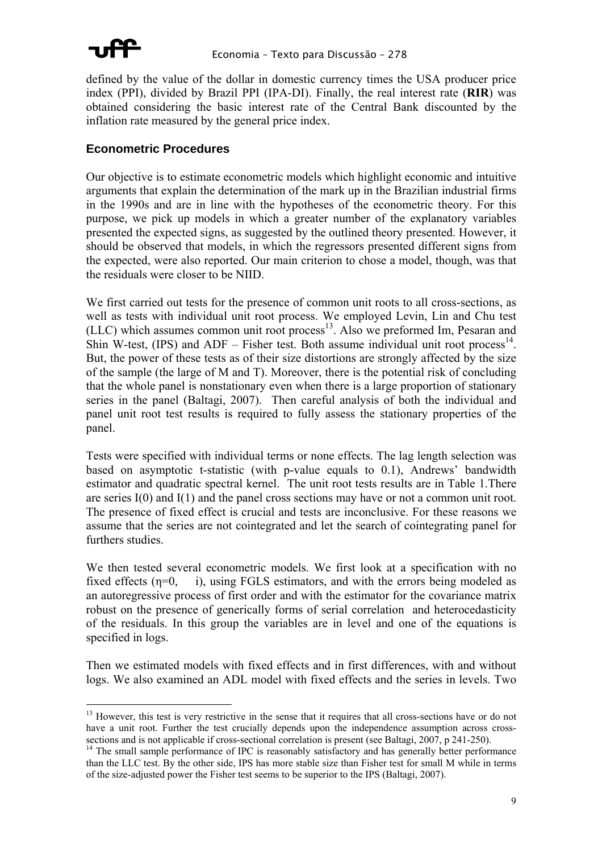

defined by the value of the dollar in domestic currency times the USA producer price index (PPI), divided by Brazil PPI (IPA-DI). Finally, the real interest rate (**RIR**) was obtained considering the basic interest rate of the Central Bank discounted by the inflation rate measured by the general price index.

#### **Econometric Procedures**

Our objective is to estimate econometric models which highlight economic and intuitive arguments that explain the determination of the mark up in the Brazilian industrial firms in the 1990s and are in line with the hypotheses of the econometric theory. For this purpose, we pick up models in which a greater number of the explanatory variables presented the expected signs, as suggested by the outlined theory presented. However, it should be observed that models, in which the regressors presented different signs from the expected, were also reported. Our main criterion to chose a model, though, was that the residuals were closer to be NIID.

We first carried out tests for the presence of common unit roots to all cross-sections, as well as tests with individual unit root process. We employed Levin, Lin and Chu test (LLC) which assumes common unit root process<sup>13</sup>. Also we preformed Im, Pesaran and Shin W-test, (IPS) and ADF – Fisher test. Both assume individual unit root process<sup>14</sup>. But, the power of these tests as of their size distortions are strongly affected by the size of the sample (the large of M and T). Moreover, there is the potential risk of concluding that the whole panel is nonstationary even when there is a large proportion of stationary series in the panel (Baltagi, 2007). Then careful analysis of both the individual and panel unit root test results is required to fully assess the stationary properties of the panel.

Tests were specified with individual terms or none effects. The lag length selection was based on asymptotic t-statistic (with p-value equals to 0.1), Andrews' bandwidth estimator and quadratic spectral kernel. The unit root tests results are in Table 1.There are series I(0) and I(1) and the panel cross sections may have or not a common unit root. The presence of fixed effect is crucial and tests are inconclusive. For these reasons we assume that the series are not cointegrated and let the search of cointegrating panel for furthers studies.

We then tested several econometric models. We first look at a specification with no fixed effects (n=0, i), using FGLS estimators, and with the errors being modeled as an autoregressive process of first order and with the estimator for the covariance matrix robust on the presence of generically forms of serial correlation and heterocedasticity of the residuals. In this group the variables are in level and one of the equations is specified in logs.

Then we estimated models with fixed effects and in first differences, with and without logs. We also examined an ADL model with fixed effects and the series in levels. Two

<sup>&</sup>lt;sup>13</sup> However, this test is very restrictive in the sense that it requires that all cross-sections have or do not have a unit root. Further the test crucially depends upon the independence assumption across cross-<br>sections and is not applicable if cross-sectional correlation is present (see Baltagi, 2007, p 241-250).

<sup>&</sup>lt;sup>14</sup> The small sample performance of IPC is reasonably satisfactory and has generally better performance than the LLC test. By the other side, IPS has more stable size than Fisher test for small M while in terms of the size-adjusted power the Fisher test seems to be superior to the IPS (Baltagi, 2007).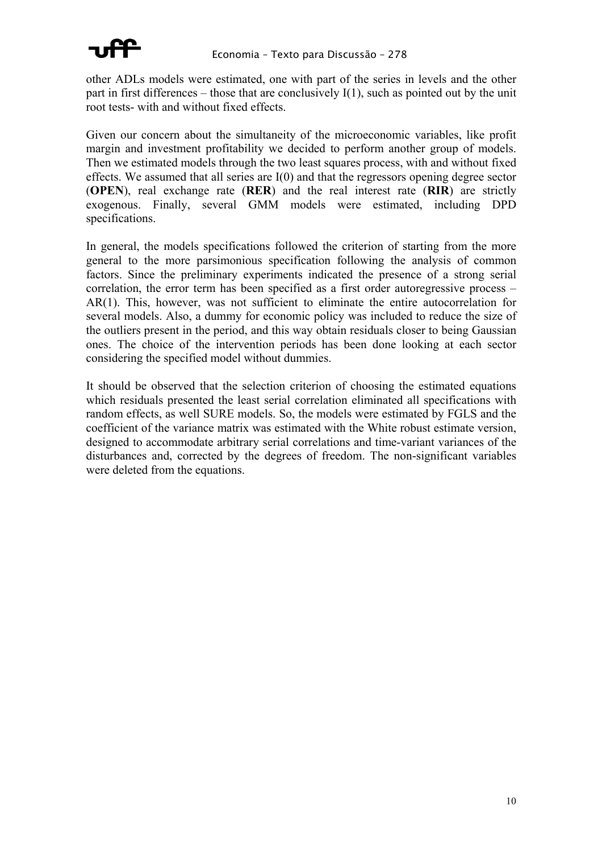

other ADLs models were estimated, one with part of the series in levels and the other part in first differences – those that are conclusively  $I(1)$ , such as pointed out by the unit root tests- with and without fixed effects.

Given our concern about the simultaneity of the microeconomic variables, like profit margin and investment profitability we decided to perform another group of models. Then we estimated models through the two least squares process, with and without fixed effects. We assumed that all series are I(0) and that the regressors opening degree sector (**OPEN**), real exchange rate (**RER**) and the real interest rate (**RIR**) are strictly exogenous. Finally, several GMM models were estimated, including DPD specifications.

In general, the models specifications followed the criterion of starting from the more general to the more parsimonious specification following the analysis of common factors. Since the preliminary experiments indicated the presence of a strong serial correlation, the error term has been specified as a first order autoregressive process – AR(1). This, however, was not sufficient to eliminate the entire autocorrelation for several models. Also, a dummy for economic policy was included to reduce the size of the outliers present in the period, and this way obtain residuals closer to being Gaussian ones. The choice of the intervention periods has been done looking at each sector considering the specified model without dummies.

It should be observed that the selection criterion of choosing the estimated equations which residuals presented the least serial correlation eliminated all specifications with random effects, as well SURE models. So, the models were estimated by FGLS and the coefficient of the variance matrix was estimated with the White robust estimate version, designed to accommodate arbitrary serial correlations and time-variant variances of the disturbances and, corrected by the degrees of freedom. The non-significant variables were deleted from the equations.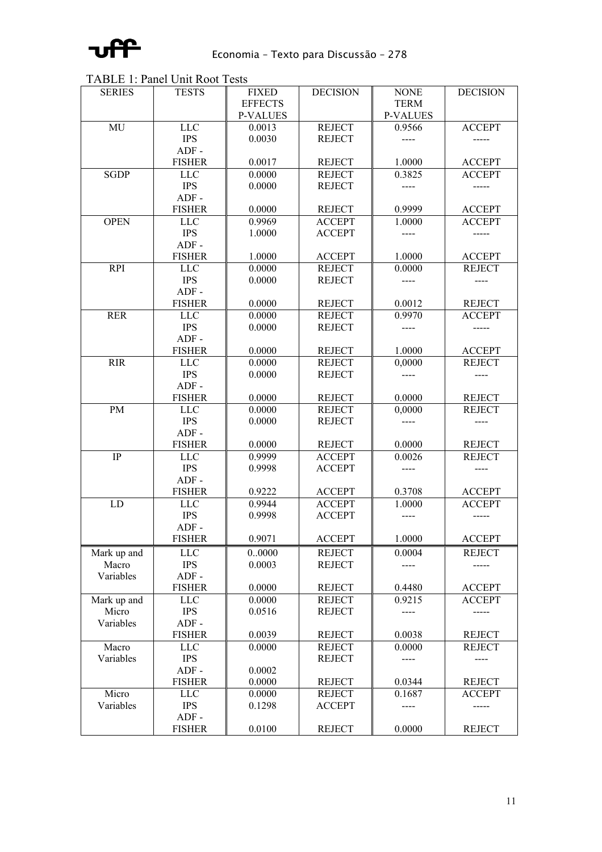

TABLE 1: Panel Unit Root Tests

| <b>SERIES</b> | <b>TESTS</b>             | <b>FIXED</b>     | <b>DECISION</b>                | <b>NONE</b>      | <b>DECISION</b>        |
|---------------|--------------------------|------------------|--------------------------------|------------------|------------------------|
|               |                          | <b>EFFECTS</b>   |                                | <b>TERM</b>      |                        |
|               |                          | <b>P-VALUES</b>  |                                | <b>P-VALUES</b>  |                        |
| MU            | <b>LLC</b>               | 0.0013           | <b>REJECT</b>                  | 0.9566           | <b>ACCEPT</b>          |
|               | <b>IPS</b>               | 0.0030           | <b>REJECT</b>                  |                  |                        |
|               | $ADF -$                  |                  |                                |                  |                        |
|               | <b>FISHER</b>            | 0.0017           | <b>REJECT</b>                  | 1.0000           | <b>ACCEPT</b>          |
| <b>SGDP</b>   | <b>LLC</b>               | 0.0000           | <b>REJECT</b>                  | 0.3825           | <b>ACCEPT</b>          |
|               | <b>IPS</b>               | 0.0000           | <b>REJECT</b>                  |                  |                        |
|               | $ADF -$                  |                  |                                |                  |                        |
|               | <b>FISHER</b>            | 0.0000           | <b>REJECT</b>                  | 0.9999           | <b>ACCEPT</b>          |
| <b>OPEN</b>   | <b>LLC</b>               | 0.9969           | <b>ACCEPT</b>                  | 1.0000           | <b>ACCEPT</b>          |
|               | <b>IPS</b>               | 1.0000           | <b>ACCEPT</b>                  |                  |                        |
|               | $ADF -$                  |                  |                                |                  |                        |
|               | <b>FISHER</b>            | 1.0000           | <b>ACCEPT</b>                  | 1.0000           | <b>ACCEPT</b>          |
| <b>RPI</b>    | <b>LLC</b>               | 0.0000           | <b>REJECT</b>                  | 0.0000           | <b>REJECT</b>          |
|               | <b>IPS</b>               | 0.0000           | <b>REJECT</b>                  |                  |                        |
|               | $ADF -$                  |                  |                                |                  |                        |
|               | <b>FISHER</b>            | 0.0000           | <b>REJECT</b>                  | 0.0012           | <b>REJECT</b>          |
| <b>RER</b>    | <b>LLC</b>               | 0.0000           | <b>REJECT</b>                  | 0.9970           | <b>ACCEPT</b>          |
|               | <b>IPS</b>               | 0.0000           | <b>REJECT</b>                  |                  |                        |
|               | $ADF -$<br><b>FISHER</b> |                  |                                | 1.0000           |                        |
| <b>RIR</b>    |                          | 0.0000<br>0.0000 | <b>REJECT</b><br><b>REJECT</b> | 0,0000           | <b>ACCEPT</b>          |
|               | <b>LLC</b><br><b>IPS</b> | 0.0000           | <b>REJECT</b>                  |                  | <b>REJECT</b>          |
|               | $ADF -$                  |                  |                                |                  |                        |
|               | <b>FISHER</b>            | 0.0000           | <b>REJECT</b>                  | 0.0000           | <b>REJECT</b>          |
| PM            | <b>LLC</b>               | 0.0000           | <b>REJECT</b>                  | 0,0000           | <b>REJECT</b>          |
|               | <b>IPS</b>               | 0.0000           | <b>REJECT</b>                  |                  |                        |
|               | $ADF -$                  |                  |                                |                  |                        |
|               | <b>FISHER</b>            | 0.0000           | <b>REJECT</b>                  | 0.0000           | <b>REJECT</b>          |
| IP            | <b>LLC</b>               | 0.9999           | <b>ACCEPT</b>                  | 0.0026           | <b>REJECT</b>          |
|               | <b>IPS</b>               | 0.9998           | <b>ACCEPT</b>                  |                  |                        |
|               | $ADF -$                  |                  |                                |                  |                        |
|               | <b>FISHER</b>            | 0.9222           | <b>ACCEPT</b>                  | 0.3708           | <b>ACCEPT</b>          |
| LD            | <b>LLC</b>               | 0.9944           | <b>ACCEPT</b>                  | 1.0000           | <b>ACCEPT</b>          |
|               | <b>IPS</b>               | 0.9998           | <b>ACCEPT</b>                  |                  |                        |
|               | $ADF -$                  |                  |                                |                  |                        |
|               | <b>FISHER</b>            | 0.9071           | <b>ACCEPT</b>                  | 1.0000           | <b>ACCEPT</b>          |
| Mark up and   | <b>LLC</b>               | 0.0000           | <b>REJECT</b>                  | 0.0004           | <b>REJECT</b>          |
| Macro         | <b>IPS</b>               | 0.0003           | <b>REJECT</b>                  | $---$            | -----                  |
| Variables     | $ADF -$                  |                  |                                |                  |                        |
|               | <b>FISHER</b>            | 0.0000           | <b>REJECT</b>                  | 0.4480           | <b>ACCEPT</b>          |
| Mark up and   | <b>LLC</b>               | 0.0000           | <b>REJECT</b>                  | 0.9215           | <b>ACCEPT</b>          |
| Micro         | <b>IPS</b>               | 0.0516           | <b>REJECT</b>                  | $---$            | -----                  |
| Variables     | $ADF -$                  |                  |                                |                  |                        |
|               | <b>FISHER</b>            | 0.0039           | <b>REJECT</b>                  | 0.0038           | <b>REJECT</b>          |
| Macro         | <b>LLC</b>               | 0.0000           | <b>REJECT</b>                  | 0.0000           | <b>REJECT</b>          |
| Variables     | <b>IPS</b>               |                  | <b>REJECT</b>                  | $---$            | ----                   |
|               | $ADF -$                  | 0.0002           |                                |                  |                        |
| Micro         | <b>FISHER</b>            | 0.0000           | <b>REJECT</b>                  | 0.0344<br>0.1687 | <b>REJECT</b>          |
| Variables     | <b>LLC</b><br><b>IPS</b> | 0.0000<br>0.1298 | <b>REJECT</b><br><b>ACCEPT</b> | ----             | <b>ACCEPT</b><br>----- |
|               | $ADF -$                  |                  |                                |                  |                        |
|               | <b>FISHER</b>            | 0.0100           | <b>REJECT</b>                  | 0.0000           | <b>REJECT</b>          |
|               |                          |                  |                                |                  |                        |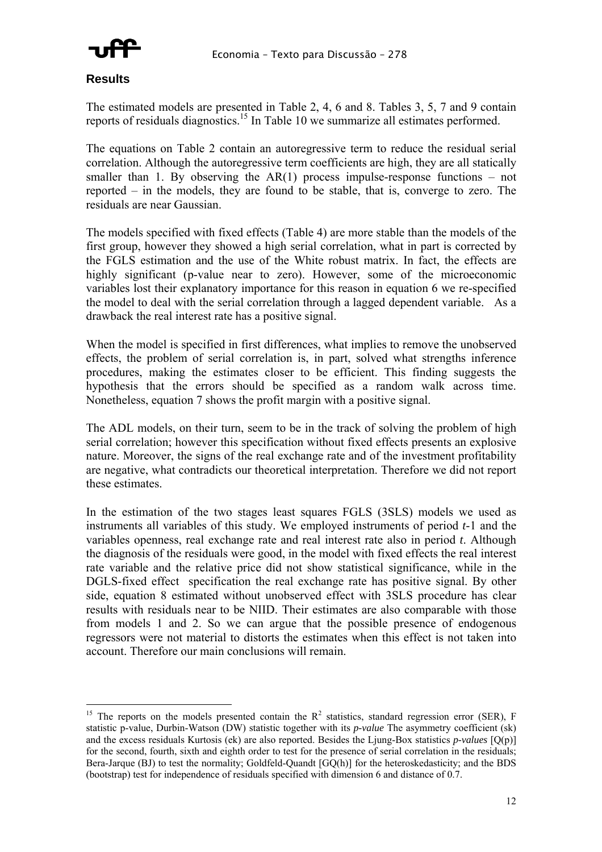

#### **Results**

 $\overline{a}$ 

The estimated models are presented in Table 2, 4, 6 and 8. Tables 3, 5, 7 and 9 contain reports of residuals diagnostics.<sup>15</sup> In Table 10 we summarize all estimates performed.

The equations on Table 2 contain an autoregressive term to reduce the residual serial correlation. Although the autoregressive term coefficients are high, they are all statically smaller than 1. By observing the  $AR(1)$  process impulse-response functions – not reported – in the models, they are found to be stable, that is, converge to zero. The residuals are near Gaussian.

The models specified with fixed effects (Table 4) are more stable than the models of the first group, however they showed a high serial correlation, what in part is corrected by the FGLS estimation and the use of the White robust matrix. In fact, the effects are highly significant (p-value near to zero). However, some of the microeconomic variables lost their explanatory importance for this reason in equation 6 we re-specified the model to deal with the serial correlation through a lagged dependent variable. As a drawback the real interest rate has a positive signal.

When the model is specified in first differences, what implies to remove the unobserved effects, the problem of serial correlation is, in part, solved what strengths inference procedures, making the estimates closer to be efficient. This finding suggests the hypothesis that the errors should be specified as a random walk across time. Nonetheless, equation 7 shows the profit margin with a positive signal.

The ADL models, on their turn, seem to be in the track of solving the problem of high serial correlation; however this specification without fixed effects presents an explosive nature. Moreover, the signs of the real exchange rate and of the investment profitability are negative, what contradicts our theoretical interpretation. Therefore we did not report these estimates.

In the estimation of the two stages least squares FGLS (3SLS) models we used as instruments all variables of this study. We employed instruments of period *t*-1 and the variables openness, real exchange rate and real interest rate also in period *t*. Although the diagnosis of the residuals were good, in the model with fixed effects the real interest rate variable and the relative price did not show statistical significance, while in the DGLS-fixed effect specification the real exchange rate has positive signal. By other side, equation 8 estimated without unobserved effect with 3SLS procedure has clear results with residuals near to be NIID. Their estimates are also comparable with those from models 1 and 2. So we can argue that the possible presence of endogenous regressors were not material to distorts the estimates when this effect is not taken into account. Therefore our main conclusions will remain.

<sup>&</sup>lt;sup>15</sup> The reports on the models presented contain the  $R^2$  statistics, standard regression error (SER), F statistic p-value, Durbin-Watson (DW) statistic together with its *p-value* The asymmetry coefficient (sk) and the excess residuals Kurtosis (ek) are also reported. Besides the Ljung-Box statistics *p-values* [Q(p)] for the second, fourth, sixth and eighth order to test for the presence of serial correlation in the residuals; Bera-Jarque (BJ) to test the normality; Goldfeld-Quandt [GQ(h)] for the heteroskedasticity; and the BDS (bootstrap) test for independence of residuals specified with dimension 6 and distance of 0.7.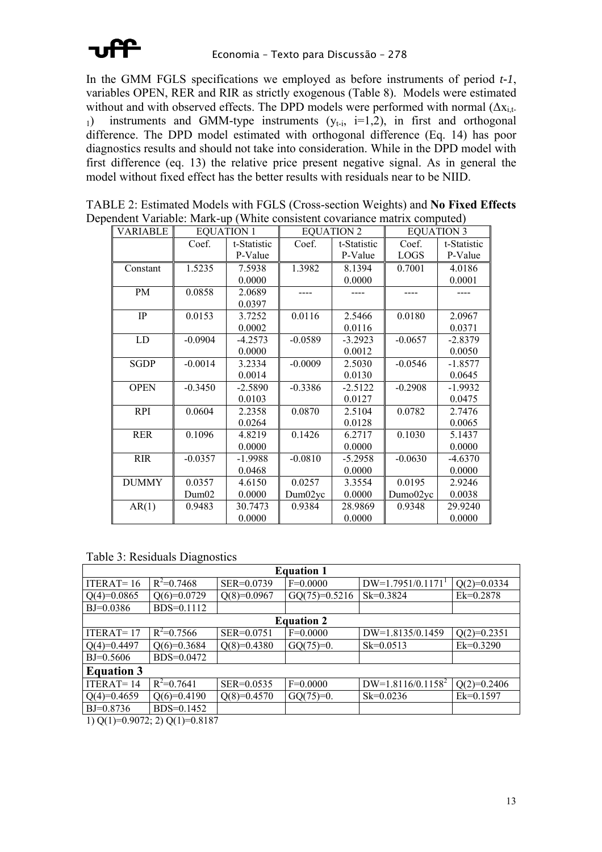

In the GMM FGLS specifications we employed as before instruments of period *t-1*, variables OPEN, RER and RIR as strictly exogenous (Table 8). Models were estimated without and with observed effects. The DPD models were performed with normal  $(\Delta x_{i,t-1})$ 1) instruments and GMM-type instruments  $(y_{t-i}, i=1,2)$ , in first and orthogonal difference. The DPD model estimated with orthogonal difference (Eq. 14) has poor diagnostics results and should not take into consideration. While in the DPD model with first difference (eq. 13) the relative price present negative signal. As in general the model without fixed effect has the better results with residuals near to be NIID.

| TABLE 2: Estimated Models with FGLS (Cross-section Weights) and No Fixed Effects |  |
|----------------------------------------------------------------------------------|--|
| Dependent Variable: Mark-up (White consistent covariance matrix computed)        |  |

| <b>VARIABLE</b> |           | <b>EQUATION 1</b> |           | <b>EQUATION 2</b> |             | <b>EQUATION 3</b> |
|-----------------|-----------|-------------------|-----------|-------------------|-------------|-------------------|
|                 | Coef.     | t-Statistic       | Coef.     | t-Statistic       | Coef.       | t-Statistic       |
|                 |           | P-Value           |           | P-Value           | <b>LOGS</b> | P-Value           |
| Constant        | 1.5235    | 7.5938            | 1.3982    | 8.1394            | 0.7001      | 4.0186            |
|                 |           | 0.0000            |           | 0.0000            |             | 0.0001            |
| PM              | 0.0858    | 2.0689            |           |                   |             |                   |
|                 |           | 0.0397            |           |                   |             |                   |
| IP              | 0.0153    | 3.7252            | 0.0116    | 2.5466            | 0.0180      | 2.0967            |
|                 |           | 0.0002            |           | 0.0116            |             | 0.0371            |
| LD              | $-0.0904$ | $-4.2573$         | $-0.0589$ | $-3.2923$         | $-0.0657$   | $-2.8379$         |
|                 |           | 0.0000            |           | 0.0012            |             | 0.0050            |
| <b>SGDP</b>     | $-0.0014$ | 3.2334            | $-0.0009$ | 2.5030            | $-0.0546$   | $-1.8577$         |
|                 |           | 0.0014            |           | 0.0130            |             | 0.0645            |
| <b>OPEN</b>     | $-0.3450$ | $-2.5890$         | $-0.3386$ | $-2.5122$         | $-0.2908$   | $-1.9932$         |
|                 |           | 0.0103            |           | 0.0127            |             | 0.0475            |
| <b>RPI</b>      | 0.0604    | 2.2358            | 0.0870    | 2.5104            | 0.0782      | 2.7476            |
|                 |           | 0.0264            |           | 0.0128            |             | 0.0065            |
| <b>RER</b>      | 0.1096    | 4.8219            | 0.1426    | 6.2717            | 0.1030      | 5.1437            |
|                 |           | 0.0000            |           | 0.0000            |             | 0.0000            |
| <b>RIR</b>      | $-0.0357$ | $-1.9988$         | $-0.0810$ | -5.2958           | $-0.0630$   | -4.6370           |
|                 |           | 0.0468            |           | 0.0000            |             | 0.0000            |
| <b>DUMMY</b>    | 0.0357    | 4.6150            | 0.0257    | 3.3554            | 0.0195      | 2.9246            |
|                 | Dum02     | 0.0000            | Dum02yc   | 0.0000            | Dumo02yc    | 0.0038            |
| AR(1)           | 0.9483    | 30.7473           | 0.9384    | 28.9869           | 0.9348      | 29.9240           |
|                 |           | 0.0000            |           | 0.0000            |             | 0.0000            |

Table 3: Residuals Diagnostics

|                   | <b>Equation 1</b>                                    |                |                 |                      |               |  |  |  |  |  |
|-------------------|------------------------------------------------------|----------------|-----------------|----------------------|---------------|--|--|--|--|--|
| ITERAT= $16$      | $R^2 = 0.7468$                                       | SER=0.0739     | $F=0.0000$      | $DW=1.7951/0.1171T$  | $Q(2)=0.0334$ |  |  |  |  |  |
| $Q(4)=0.0865$     | $Q(6)=0.0729$                                        | $Q(8)=0.0967$  | $GQ(75)=0.5216$ | $Sk = 0.3824$        | $Ek=0.2878$   |  |  |  |  |  |
| $BJ=0.0386$       | BDS=0.1112                                           |                |                 |                      |               |  |  |  |  |  |
|                   | <b>Equation 2</b>                                    |                |                 |                      |               |  |  |  |  |  |
| ITERAT $=$ 17     | $R^2 = 0.7566$                                       | SER=0.0751     | $F=0.0000$      | DW=1.8135/0.1459     | $Q(2)=0.2351$ |  |  |  |  |  |
| $Q(4)=0.4497$     | $Q(6)=0.3684$                                        | $Q(8)=0.4380$  | $GQ(75)=0.$     | $Sk = 0.0513$        | $Ek=0.3290$   |  |  |  |  |  |
| $BJ=0.5606$       | $BDS=0.0472$                                         |                |                 |                      |               |  |  |  |  |  |
| <b>Equation 3</b> |                                                      |                |                 |                      |               |  |  |  |  |  |
| ITERAT $=$ 14     | $R^2=0.7641$                                         | $SER = 0.0535$ | $F=0.0000$      | $DW=1.8116/0.1158^2$ | $Q(2)=0.2406$ |  |  |  |  |  |
| $Q(4)=0.4659$     | $Q(6)=0.4190$                                        | $Q(8)=0.4570$  | $GQ(75)=0.$     | $Sk = 0.0236$        | $Ek=0.1597$   |  |  |  |  |  |
| $BJ=0.8736$       | BDS=0.1452                                           |                |                 |                      |               |  |  |  |  |  |
|                   | 1) $\Omega(1) = 0.9072 \cdot 2$ $\Omega(1) = 0.8187$ |                |                 |                      |               |  |  |  |  |  |

1) Q(1)=0.9072; 2) Q(1)=0.8187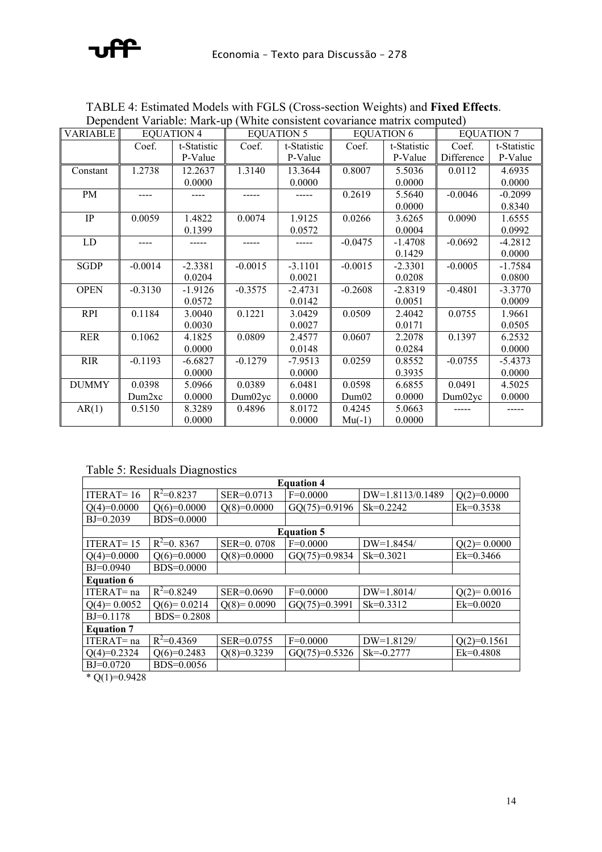# aditi

| <b>VARIABLE</b> |                    | Dependent Variable. Frank up (White consistent covariance matrix com-<br><b>EQUATION 4</b> |           | <b>EQUATION 5</b> |           | <b>EQUATION 6</b> |            | <b>EQUATION 7</b> |
|-----------------|--------------------|--------------------------------------------------------------------------------------------|-----------|-------------------|-----------|-------------------|------------|-------------------|
|                 | Coef.              | t-Statistic                                                                                | Coef.     | t-Statistic       | Coef.     | t-Statistic       | Coef.      | t-Statistic       |
|                 |                    | P-Value                                                                                    |           | P-Value           |           | P-Value           | Difference | P-Value           |
| Constant        | 1.2738             | 12.2637                                                                                    | 1.3140    | 13.3644           | 0.8007    | 5.5036            | 0.0112     | 4.6935            |
|                 |                    | 0.0000                                                                                     |           | 0.0000            |           | 0.0000            |            | 0.0000            |
| PM              |                    |                                                                                            |           |                   | 0.2619    | 5.5640            | $-0.0046$  | $-0.2099$         |
|                 |                    |                                                                                            |           |                   |           | 0.0000            |            | 0.8340            |
| IP              | 0.0059             | 1.4822                                                                                     | 0.0074    | 1.9125            | 0.0266    | 3.6265            | 0.0090     | 1.6555            |
|                 |                    | 0.1399                                                                                     |           | 0.0572            |           | 0.0004            |            | 0.0992            |
| LD              |                    |                                                                                            |           | -----             | $-0.0475$ | $-1.4708$         | $-0.0692$  | $-4.2812$         |
|                 |                    |                                                                                            |           |                   |           | 0.1429            |            | 0.0000            |
| <b>SGDP</b>     | $-0.0014$          | $-2.3381$                                                                                  | $-0.0015$ | $-3.1101$         | $-0.0015$ | $-2.3301$         | $-0.0005$  | $-1.7584$         |
|                 |                    | 0.0204                                                                                     |           | 0.0021            |           | 0.0208            |            | 0.0800            |
| <b>OPEN</b>     | $-0.3130$          | -1.9126                                                                                    | $-0.3575$ | $-2.4731$         | $-0.2608$ | $-2.8319$         | $-0.4801$  | $-3.3770$         |
|                 |                    | 0.0572                                                                                     |           | 0.0142            |           | 0.0051            |            | 0.0009            |
| <b>RPI</b>      | 0.1184             | 3.0040                                                                                     | 0.1221    | 3.0429            | 0.0509    | 2.4042            | 0.0755     | 1.9661            |
|                 |                    | 0.0030                                                                                     |           | 0.0027            |           | 0.0171            |            | 0.0505            |
| <b>RER</b>      | 0.1062             | 4.1825                                                                                     | 0.0809    | 2.4577            | 0.0607    | 2.2078            | 0.1397     | 6.2532            |
|                 |                    | 0.0000                                                                                     |           | 0.0148            |           | 0.0284            |            | 0.0000            |
| <b>RIR</b>      | $-0.1193$          | $-6.6827$                                                                                  | $-0.1279$ | $-7.9513$         | 0.0259    | 0.8552            | $-0.0755$  | $-5.4373$         |
|                 |                    | 0.0000                                                                                     |           | 0.0000            |           | 0.3935            |            | 0.0000            |
| <b>DUMMY</b>    | 0.0398             | 5.0966                                                                                     | 0.0389    | 6.0481            | 0.0598    | 6.6855            | 0.0491     | 4.5025            |
|                 | Dum <sub>2xc</sub> | 0.0000                                                                                     | Dum02yc   | 0.0000            | Dum02     | 0.0000            | Dum02yc    | 0.0000            |
| AR(1)           | 0.5150             | 8.3289                                                                                     | 0.4896    | 8.0172            | 0.4245    | 5.0663            |            |                   |
|                 |                    | 0.0000                                                                                     |           | 0.0000            | $Mu(-1)$  | 0.0000            |            |                   |

TABLE 4: Estimated Models with FGLS (Cross-section Weights) and **Fixed Effects**. Dependent Variable: Mark-up (White consistent covariance matrix computed)

Table 5: Residuals Diagnostics

|                                                                                             | <b>Equation 4</b> |               |                   |                  |               |  |  |  |  |
|---------------------------------------------------------------------------------------------|-------------------|---------------|-------------------|------------------|---------------|--|--|--|--|
| ITERAT= $16$                                                                                | $R^2=0.8237$      | SER=0.0713    | $F=0.0000$        | DW=1.8113/0.1489 | $Q(2)=0.0000$ |  |  |  |  |
| $Q(4)=0.0000$                                                                               | $Q(6)=0.0000$     | $Q(8)=0.0000$ | $GQ(75)=0.9196$   | $Sk = 0.2242$    | $Ek=0.3538$   |  |  |  |  |
| $BJ=0.2039$                                                                                 | BDS=0.0000        |               |                   |                  |               |  |  |  |  |
|                                                                                             |                   |               | <b>Equation 5</b> |                  |               |  |  |  |  |
| ITERAT $=$ 15                                                                               | $R^2=0.8367$      | SER=0.0708    | $F=0.0000$        | DW=1.8454/       | $Q(2)=0.0000$ |  |  |  |  |
| $Q(4)=0.0000$                                                                               | $Q(6)=0.0000$     | $Q(8)=0.0000$ | $GQ(75)=0.9834$   | $Sk = 0.3021$    | $Ek=0.3466$   |  |  |  |  |
| $BJ=0.0940$                                                                                 | BDS=0.0000        |               |                   |                  |               |  |  |  |  |
| <b>Equation 6</b>                                                                           |                   |               |                   |                  |               |  |  |  |  |
| $ITERAT = na$                                                                               | $R^2=0.8249$      | SER=0.0690    | $F=0.0000$        | $DW=1.8014/$     | $Q(2)=0.0016$ |  |  |  |  |
| $Q(4)=0.0052$                                                                               | $Q(6)=0.0214$     | $Q(8)=0.0090$ | $GQ(75)=0.3991$   | $Sk = 0.3312$    | $Ek=0.0020$   |  |  |  |  |
| $BJ=0.1178$                                                                                 | $BDS = 0.2808$    |               |                   |                  |               |  |  |  |  |
| <b>Equation 7</b>                                                                           |                   |               |                   |                  |               |  |  |  |  |
| ITERAT=na                                                                                   | $R^2=0.4369$      | SER=0.0755    | $F=0.0000$        | DW=1.8129/       | $Q(2)=0.1561$ |  |  |  |  |
| $Q(4)=0.2324$                                                                               | $Q(6)=0.2483$     | $Q(8)=0.3239$ | $GQ(75)=0.5326$   | $Sk = 0.2777$    | $Ek=0.4808$   |  |  |  |  |
| $BJ=0.0720$<br>$\mathcal{L}$ $\cap$ $\mathcal{L}$ $\rightarrow$ $\cap$ $\cap$ $\cap$ $\cap$ | BDS=0.0056        |               |                   |                  |               |  |  |  |  |

 $*$  Q(1)=0.9428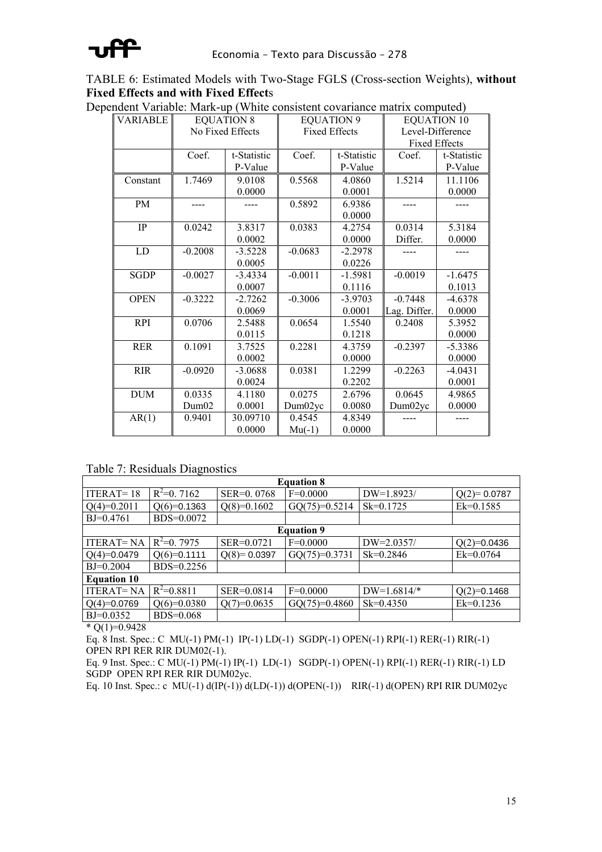

TABLE 6: Estimated Models with Two-Stage FGLS (Cross-section Weights), **without Fixed Effects and with Fixed Effect**s

| <b>VARIABLE</b> |           | <b>EQUATION 8</b> |           | <b>EQUATION 9</b>    |                      | <b>EQUATION 10</b> |  |
|-----------------|-----------|-------------------|-----------|----------------------|----------------------|--------------------|--|
|                 |           | No Fixed Effects  |           | <b>Fixed Effects</b> |                      | Level-Difference   |  |
|                 |           |                   |           |                      | <b>Fixed Effects</b> |                    |  |
|                 | Coef.     | t-Statistic       | Coef.     | t-Statistic          | Coef.                | t-Statistic        |  |
|                 |           | P-Value           |           | P-Value              |                      | P-Value            |  |
| Constant        | 1.7469    | 9.0108            | 0.5568    | 4.0860               | 1.5214               | 11.1106            |  |
|                 |           | 0.0000            |           | 0.0001               |                      | 0.0000             |  |
| PM              |           |                   | 0.5892    | 6.9386               |                      |                    |  |
|                 |           |                   |           | 0.0000               |                      |                    |  |
| <b>IP</b>       | 0.0242    | 3.8317            | 0.0383    | 4.2754               | 0.0314               | 5.3184             |  |
|                 |           | 0.0002            |           | 0.0000               | Differ.              | 0.0000             |  |
| ${\rm LD}$      | $-0.2008$ | $-3.5228$         | $-0.0683$ | $-2.2978$            |                      |                    |  |
|                 |           | 0.0005            |           | 0.0226               |                      |                    |  |
| <b>SGDP</b>     | $-0.0027$ | $-3.4334$         | $-0.0011$ | $-1.5981$            | $-0.0019$            | $-1.6475$          |  |
|                 |           | 0.0007            |           | 0.1116               |                      | 0.1013             |  |
| <b>OPEN</b>     | $-0.3222$ | $-2.7262$         | $-0.3006$ | $-3.9703$            | $-0.7448$            | $-4.6378$          |  |
|                 |           | 0.0069            |           | 0.0001               | Lag. Differ.         | 0.0000             |  |
| <b>RPI</b>      | 0.0706    | 2.5488            | 0.0654    | 1.5540               | 0.2408               | 5.3952             |  |
|                 |           | 0.0115            |           | 0.1218               |                      | 0.0000             |  |
| <b>RER</b>      | 0.1091    | 3.7525            | 0.2281    | 4.3759               | $-0.2397$            | $-5.3386$          |  |
|                 |           | 0.0002            |           | 0.0000               |                      | 0.0000             |  |
| <b>RIR</b>      | $-0.0920$ | $-3.0688$         | 0.0381    | 1.2299               | $-0.2263$            | $-4.0431$          |  |
|                 |           | 0.0024            |           | 0.2202               |                      | 0.0001             |  |
| <b>DUM</b>      | 0.0335    | 4.1180            | 0.0275    | 2.6796               | 0.0645               | 4.9865             |  |
|                 | Dum02     | 0.0001            | Dum02yc   | 0.0080               | Dum02yc              | 0.0000             |  |
| AR(1)           | 0.9401    | 30.09710          | 0.4545    | 4.8349               |                      |                    |  |
|                 |           | 0.0000            | $Mu(-1)$  | 0.0000               |                      |                    |  |

Dependent Variable: Mark-up (White consistent covariance matrix computed)

Table 7: Residuals Diagnostics

| <b>Equation 8</b>  |                |                |                 |               |               |  |  |  |  |
|--------------------|----------------|----------------|-----------------|---------------|---------------|--|--|--|--|
| $ITERAT = 18$      | $R^2=0.7162$   | SER=0.0768     | $F=0.0000$      | $DW=1.8923/$  | $Q(2)=0.0787$ |  |  |  |  |
| $Q(4)=0.2011$      | $Q(6)=0.1363$  | $Q(8)=0.1602$  | $GQ(75)=0.5214$ | $Sk=0.1725$   | $Ek=0.1585$   |  |  |  |  |
| $BJ=0.4761$        | BDS=0.0072     |                |                 |               |               |  |  |  |  |
| <b>Equation 9</b>  |                |                |                 |               |               |  |  |  |  |
| <b>ITERAT=NA</b>   | $R^2=0.7975$   | SER=0.0721     | $F=0.0000$      | $DW=2.0357/$  | $Q(2)=0.0436$ |  |  |  |  |
| $Q(4)=0.0479$      | $Q(6)=0.1111$  | $Q(8)=0.0397$  | $GQ(75)=0.3731$ | $Sk = 0.2846$ | $Ek=0.0764$   |  |  |  |  |
| $BJ=0.2004$        | BDS=0.2256     |                |                 |               |               |  |  |  |  |
| <b>Equation 10</b> |                |                |                 |               |               |  |  |  |  |
| <b>ITERAT=NA</b>   | $R^2 = 0.8811$ | $SER = 0.0814$ | $F=0.0000$      | $DW=1.6814/*$ | $Q(2)=0.1468$ |  |  |  |  |
| $Q(4)=0.0769$      | $Q(6)=0.0380$  | $Q(7)=0.0635$  | $GQ(75)=0.4860$ | $Sk = 0.4350$ | $Ek=0.1236$   |  |  |  |  |
| $BJ=0.0352$        | $BDS=0.068$    |                |                 |               |               |  |  |  |  |

 $*$  O(1)=0.9428

Eq. 8 Inst. Spec.: C MU(-1) PM(-1) IP(-1) LD(-1) SGDP(-1) OPEN(-1) RPI(-1) RER(-1) RIR(-1) OPEN RPI RER RIR DUM02(-1).

Eq. 9 Inst. Spec.: C MU(-1) PM(-1) IP(-1) LD(-1) SGDP(-1) OPEN(-1) RPI(-1) RER(-1) RIR(-1) LD SGDP OPEN RPI RER RIR DUM02yc.

Eq. 10 Inst. Spec.: c MU(-1)  $d(IP(-1))$   $d(LD(-1))$   $d(OPEN(-1))$  RIR(-1)  $d(OPEN)$  RPI RIR DUM02yc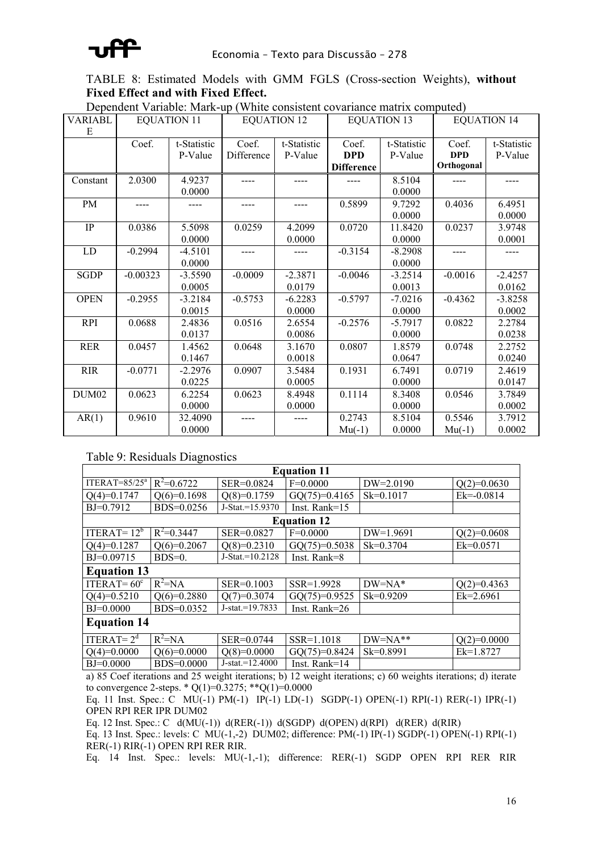#### TABLE 8: Estimated Models with GMM FGLS (Cross-section Weights), **without Fixed Effect and with Fixed Effect.**

| <b>VARIABL</b>    |            | <b>EQUATION 11</b> | $D$ ependent variable, iviain up yvinite consistent covariance matrix compated) | <b>EQUATION 12</b> | <b>EQUATION 13</b> |             | <b>EQUATION 14</b> |             |
|-------------------|------------|--------------------|---------------------------------------------------------------------------------|--------------------|--------------------|-------------|--------------------|-------------|
| E                 |            |                    |                                                                                 |                    |                    |             |                    |             |
|                   | Coef.      | t-Statistic        | Coef.                                                                           | t-Statistic        | Coef.              | t-Statistic | Coef.              | t-Statistic |
|                   |            | P-Value            | Difference                                                                      | P-Value            | <b>DPD</b>         | P-Value     | <b>DPD</b>         | P-Value     |
|                   |            |                    |                                                                                 |                    | <b>Difference</b>  |             | Orthogonal         |             |
| Constant          | 2.0300     | 4.9237             |                                                                                 |                    |                    | 8.5104      |                    |             |
|                   |            | 0.0000             |                                                                                 |                    |                    | 0.0000      |                    |             |
| PM                |            |                    |                                                                                 |                    | 0.5899             | 9.7292      | 0.4036             | 6.4951      |
|                   |            |                    |                                                                                 |                    |                    | 0.0000      |                    | 0.0000      |
| $\rm IP$          | 0.0386     | 5.5098             | 0.0259                                                                          | 4.2099             | 0.0720             | 11.8420     | 0.0237             | 3.9748      |
|                   |            | 0.0000             |                                                                                 | 0.0000             |                    | 0.0000      |                    | 0.0001      |
| LD                | $-0.2994$  | $-4.5101$          |                                                                                 |                    | $-0.3154$          | $-8.2908$   |                    |             |
|                   |            | 0.0000             |                                                                                 |                    |                    | 0.0000      |                    |             |
| <b>SGDP</b>       | $-0.00323$ | $-3.5590$          | $-0.0009$                                                                       | $-2.3871$          | $-0.0046$          | $-3.2514$   | $-0.0016$          | $-2.4257$   |
|                   |            | 0.0005             |                                                                                 | 0.0179             |                    | 0.0013      |                    | 0.0162      |
| <b>OPEN</b>       | $-0.2955$  | $-3.2184$          | $-0.5753$                                                                       | $-6.2283$          | $-0.5797$          | $-7.0216$   | $-0.4362$          | $-3.8258$   |
|                   |            | 0.0015             |                                                                                 | 0.0000             |                    | 0.0000      |                    | 0.0002      |
| <b>RPI</b>        | 0.0688     | 2.4836             | 0.0516                                                                          | 2.6554             | $-0.2576$          | $-5.7917$   | 0.0822             | 2.2784      |
|                   |            | 0.0137             |                                                                                 | 0.0086             |                    | 0.0000      |                    | 0.0238      |
| <b>RER</b>        | 0.0457     | 1.4562             | 0.0648                                                                          | 3.1670             | 0.0807             | 1.8579      | 0.0748             | 2.2752      |
|                   |            | 0.1467             |                                                                                 | 0.0018             |                    | 0.0647      |                    | 0.0240      |
| <b>RIR</b>        | $-0.0771$  | $-2.2976$          | 0.0907                                                                          | 3.5484             | 0.1931             | 6.7491      | 0.0719             | 2.4619      |
|                   |            | 0.0225             |                                                                                 | 0.0005             |                    | 0.0000      |                    | 0.0147      |
| DUM <sub>02</sub> | 0.0623     | 6.2254             | 0.0623                                                                          | 8.4948             | 0.1114             | 8.3408      | 0.0546             | 3.7849      |
|                   |            | 0.0000             |                                                                                 | 0.0000             |                    | 0.0000      |                    | 0.0002      |
| AR(1)             | 0.9610     | 32.4090            |                                                                                 |                    | 0.2743             | 8.5104      | 0.5546             | 3.7912      |
|                   |            | 0.0000             |                                                                                 |                    | $Mu(-1)$           | 0.0000      | $Mu(-1)$           | 0.0002      |

Dependent Variable: Mark-up (White consistent covariance matrix computed)

#### Table 9: Residuals Diagnostics

|                    | <b>Equation 11</b>   |                    |                  |               |                |  |  |  |  |
|--------------------|----------------------|--------------------|------------------|---------------|----------------|--|--|--|--|
| ITERAT= $85/25^a$  | $R^2=0.6722$         | SER=0.0824         | $F=0.0000$       | $DW=2.0190$   | $Q(2)=0.0630$  |  |  |  |  |
| $Q(4)=0.1747$      | $Q(6)=0.1698$        | $Q(8)=0.1759$      | $GQ(75)=0.4165$  | $Sk=0.1017$   | $Ek = -0.0814$ |  |  |  |  |
| $BJ=0.7912$        | BDS=0.0256           | J-Stat.=15.9370    | Inst. Rank= $15$ |               |                |  |  |  |  |
| <b>Equation 12</b> |                      |                    |                  |               |                |  |  |  |  |
| ITERAT= $12^b$     | $R^2 = 0.3447$       | SER=0.0827         | $F=0.0000$       | $DW=1.9691$   | $Q(2)=0.0608$  |  |  |  |  |
| $Q(4)=0.1287$      | $Q(6)=0.2067$        | $Q(8)=0.2310$      | $GQ(75)=0.5038$  | $Sk = 0.3704$ | $Ek=0.0571$    |  |  |  |  |
| BJ=0.09715         | $BDS=0$ .            | $J-Stat.=10.2128$  | Inst. Rank=8     |               |                |  |  |  |  |
| <b>Equation 13</b> |                      |                    |                  |               |                |  |  |  |  |
| ITERAT= $60^\circ$ | $R^2 = NA$           | SER=0.1003         | SSR=1.9928       | $DW = NA^*$   | $Q(2)=0.4363$  |  |  |  |  |
| $Q(4)=0.5210$      | $Q(6)=0.2880$        | $Q(7)=0.3074$      | $GQ(75)=0.9525$  | $Sk = 0.9209$ | $Ek=2.6961$    |  |  |  |  |
| $BJ=0.0000$        | $BDS=0.0352$         | $J-stat = 19.7833$ | Inst. Rank= $26$ |               |                |  |  |  |  |
| <b>Equation 14</b> |                      |                    |                  |               |                |  |  |  |  |
| ITERAT= $2d$       | $\overline{R}^2$ =NA | SER=0.0744         | SSR=1.1018       | $DW=NA**$     | $Q(2)=0.0000$  |  |  |  |  |
| $Q(4)=0.0000$      | $Q(6)=0.0000$        | $Q(8)=0.0000$      | $GQ(75)=0.8424$  | Sk=0.8991     | $Ek=1.8727$    |  |  |  |  |
| $BJ=0.0000$        | BDS=0.0000           | $J-stat = 12.4000$ | Inst. Rank= $14$ |               |                |  |  |  |  |

a) 85 Coef iterations and 25 weight iterations; b) 12 weight iterations; c) 60 weights iterations; d) iterate to convergence 2-steps. \* Q(1)=0.3275; \*\*Q(1)=0.0000

Eq. 11 Inst. Spec.: C MU(-1) PM(-1) IP(-1) LD(-1) SGDP(-1) OPEN(-1) RPI(-1) RER(-1) IPR(-1) OPEN RPI RER IPR DUM02

Eq. 12 Inst. Spec.: C  $d(MU(-1))$   $d(REF(-1))$   $d(SGDP)$   $d(OPEN)$   $d(RPI)$   $d(RER)$   $d(RIR)$ 

Eq. 13 Inst. Spec.: levels: C MU(-1,-2) DUM02; difference: PM(-1) IP(-1) SGDP(-1) OPEN(-1) RPI(-1) RER(-1) RIR(-1) OPEN RPI RER RIR.

Eq. 14 Inst. Spec.: levels: MU(-1,-1); difference: RER(-1) SGDP OPEN RPI RER RIR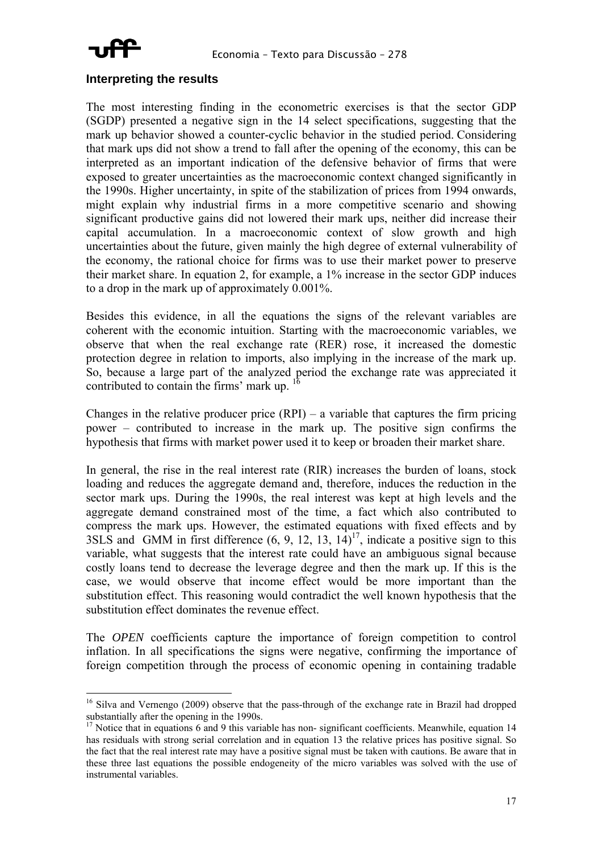

#### **Interpreting the results**

The most interesting finding in the econometric exercises is that the sector GDP (SGDP) presented a negative sign in the 14 select specifications, suggesting that the mark up behavior showed a counter-cyclic behavior in the studied period. Considering that mark ups did not show a trend to fall after the opening of the economy, this can be interpreted as an important indication of the defensive behavior of firms that were exposed to greater uncertainties as the macroeconomic context changed significantly in the 1990s. Higher uncertainty, in spite of the stabilization of prices from 1994 onwards, might explain why industrial firms in a more competitive scenario and showing significant productive gains did not lowered their mark ups, neither did increase their capital accumulation. In a macroeconomic context of slow growth and high uncertainties about the future, given mainly the high degree of external vulnerability of the economy, the rational choice for firms was to use their market power to preserve their market share. In equation 2, for example, a 1% increase in the sector GDP induces to a drop in the mark up of approximately 0.001%.

Besides this evidence, in all the equations the signs of the relevant variables are coherent with the economic intuition. Starting with the macroeconomic variables, we observe that when the real exchange rate (RER) rose, it increased the domestic protection degree in relation to imports, also implying in the increase of the mark up. So, because a large part of the analyzed period the exchange rate was appreciated it contributed to contain the firms' mark up.  $1$ 

Changes in the relative producer price  $(RPI)$  – a variable that captures the firm pricing power – contributed to increase in the mark up. The positive sign confirms the hypothesis that firms with market power used it to keep or broaden their market share.

In general, the rise in the real interest rate (RIR) increases the burden of loans, stock loading and reduces the aggregate demand and, therefore, induces the reduction in the sector mark ups. During the 1990s, the real interest was kept at high levels and the aggregate demand constrained most of the time, a fact which also contributed to compress the mark ups. However, the estimated equations with fixed effects and by 3SLS and GMM in first difference  $(6, 9, 12, 13, 14)^{17}$ , indicate a positive sign to this variable, what suggests that the interest rate could have an ambiguous signal because costly loans tend to decrease the leverage degree and then the mark up. If this is the case, we would observe that income effect would be more important than the substitution effect. This reasoning would contradict the well known hypothesis that the substitution effect dominates the revenue effect.

The *OPEN* coefficients capture the importance of foreign competition to control inflation. In all specifications the signs were negative, confirming the importance of foreign competition through the process of economic opening in containing tradable

<sup>&</sup>lt;sup>16</sup> Silva and Vernengo (2009) observe that the pass-through of the exchange rate in Brazil had dropped substantially after the opening in the 1990s.<br><sup>17</sup> Notice that in equations 6 and 9 this variable has non- significant coefficients. Meanwhile, equation 14

has residuals with strong serial correlation and in equation 13 the relative prices has positive signal. So the fact that the real interest rate may have a positive signal must be taken with cautions. Be aware that in these three last equations the possible endogeneity of the micro variables was solved with the use of instrumental variables.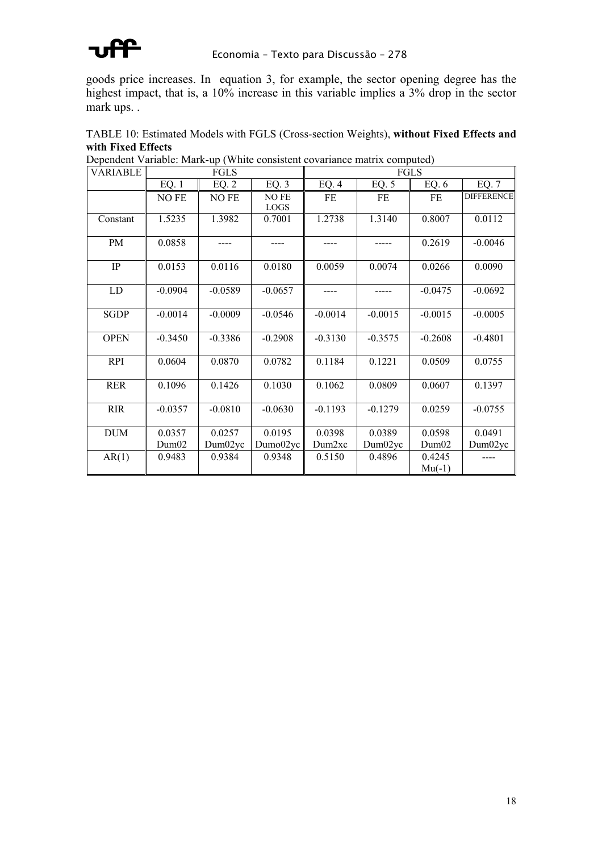

goods price increases. In equation 3, for example, the sector opening degree has the highest impact, that is, a 10% increase in this variable implies a 3% drop in the sector mark ups. .

TABLE 10: Estimated Models with FGLS (Cross-section Weights), **without Fixed Effects and** 

| <b>VARIABLE</b> |           | FGLS      |                      |                    |           | FGLS               |                   |  |  |  |
|-----------------|-----------|-----------|----------------------|--------------------|-----------|--------------------|-------------------|--|--|--|
|                 | EQ.1      | EQ.2      | EQ.3                 | EQ.4               | EQ. $5$   | EQ. $6$            | EQ. 7             |  |  |  |
|                 | NO FE     | NO FE     | NO FE<br><b>LOGS</b> | FE                 | FE        | FE                 | <b>DIFFERENCE</b> |  |  |  |
| Constant        | 1.5235    | 1.3982    | 0.7001               | 1.2738             | 1.3140    | 0.8007             | 0.0112            |  |  |  |
| PM              | 0.0858    |           |                      |                    |           | 0.2619             | $-0.0046$         |  |  |  |
| IP              | 0.0153    | 0.0116    | 0.0180               | 0.0059             | 0.0074    | 0.0266             | 0.0090            |  |  |  |
| LD              | $-0.0904$ | $-0.0589$ | $-0.0657$            | ----               |           | $-0.0475$          | $-0.0692$         |  |  |  |
| <b>SGDP</b>     | $-0.0014$ | $-0.0009$ | $-0.0546$            | $-0.0014$          | $-0.0015$ | $-0.0015$          | $-0.0005$         |  |  |  |
| <b>OPEN</b>     | $-0.3450$ | $-0.3386$ | $-0.2908$            | $-0.3130$          | $-0.3575$ | $-0.2608$          | $-0.4801$         |  |  |  |
| <b>RPI</b>      | 0.0604    | 0.0870    | 0.0782               | 0.1184             | 0.1221    | 0.0509             | 0.0755            |  |  |  |
| <b>RER</b>      | 0.1096    | 0.1426    | 0.1030               | 0.1062             | 0.0809    | 0.0607             | 0.1397            |  |  |  |
| <b>RIR</b>      | $-0.0357$ | $-0.0810$ | $-0.0630$            | $-0.1193$          | $-0.1279$ | 0.0259             | $-0.0755$         |  |  |  |
| <b>DUM</b>      | 0.0357    | 0.0257    | 0.0195               | 0.0398             | 0.0389    | 0.0598             | 0.0491            |  |  |  |
|                 | Dum02     | Dum02yc   | Dumo02yc             | Dum <sub>2xc</sub> | Dum02yc   | Dum02              | Dum02yc           |  |  |  |
| AR(1)           | 0.9483    | 0.9384    | 0.9348               | 0.5150             | 0.4896    | 0.4245<br>$Mu(-1)$ |                   |  |  |  |

**with Fixed Effects** Dependent Variable: Mark-up (White consistent covariance matrix computed)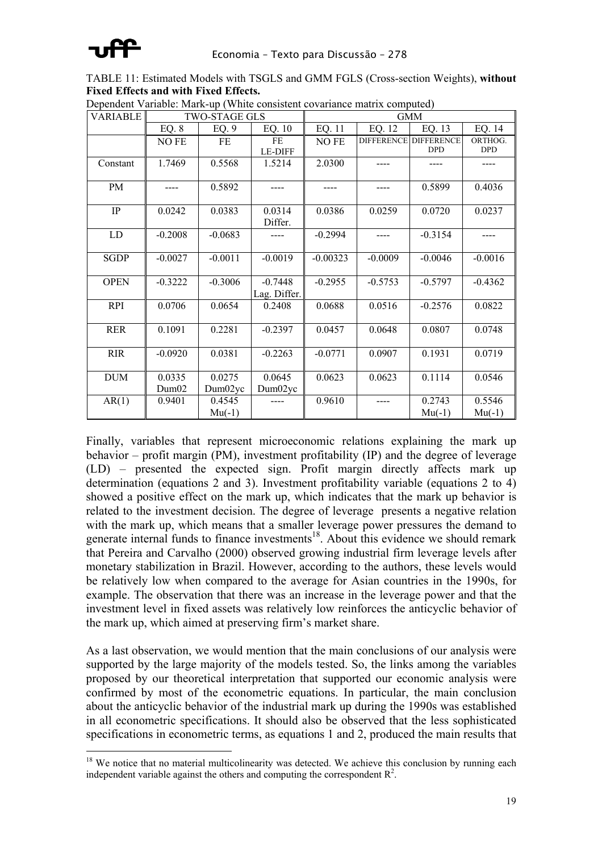

TABLE 11: Estimated Models with TSGLS and GMM FGLS (Cross-section Weights), **without Fixed Effects and with Fixed Effects.**

| <b>VARIABLE</b> |                 | <b>TWO-STAGE GLS</b> |                           | <b>GMM</b> |           |                                            |                       |  |
|-----------------|-----------------|----------------------|---------------------------|------------|-----------|--------------------------------------------|-----------------------|--|
|                 | EQ. 8           | EQ.9                 | EQ. 10                    | EQ. 11     | EQ. 12    | EQ. 13                                     | EQ. 14                |  |
|                 | NO FE           | $FE$                 | FE<br><b>LE-DIFF</b>      | NO FE      |           | <b>DIFFERENCE DIFFERENCE</b><br><b>DPD</b> | ORTHOG.<br><b>DPD</b> |  |
| Constant        | 1.7469          | 0.5568               | 1.5214                    | 2.0300     |           |                                            |                       |  |
| PM              |                 | 0.5892               |                           |            |           | 0.5899                                     | 0.4036                |  |
| $\rm IP$        | 0.0242          | 0.0383               | 0.0314<br>Differ.         | 0.0386     | 0.0259    | 0.0720                                     | 0.0237                |  |
| LD              | $-0.2008$       | $-0.0683$            |                           | $-0.2994$  |           | $-0.3154$                                  |                       |  |
| <b>SGDP</b>     | $-0.0027$       | $-0.0011$            | $-0.0019$                 | $-0.00323$ | $-0.0009$ | $-0.0046$                                  | $-0.0016$             |  |
| <b>OPEN</b>     | $-0.3222$       | $-0.3006$            | $-0.7448$<br>Lag. Differ. | $-0.2955$  | $-0.5753$ | $-0.5797$                                  | $-0.4362$             |  |
| <b>RPI</b>      | 0.0706          | 0.0654               | 0.2408                    | 0.0688     | 0.0516    | $-0.2576$                                  | 0.0822                |  |
| <b>RER</b>      | 0.1091          | 0.2281               | $-0.2397$                 | 0.0457     | 0.0648    | 0.0807                                     | 0.0748                |  |
| <b>RIR</b>      | $-0.0920$       | 0.0381               | $-0.2263$                 | $-0.0771$  | 0.0907    | 0.1931                                     | 0.0719                |  |
| <b>DUM</b>      | 0.0335<br>Dum02 | 0.0275<br>Dum02yc    | 0.0645<br>Dum02yc         | 0.0623     | 0.0623    | 0.1114                                     | 0.0546                |  |
| AR(1)           | 0.9401          | 0.4545<br>$Mu(-1)$   |                           | 0.9610     | ----      | 0.2743<br>$Mu(-1)$                         | 0.5546<br>$Mu(-1)$    |  |

Dependent Variable: Mark-up (White consistent covariance matrix computed)

Finally, variables that represent microeconomic relations explaining the mark up behavior – profit margin (PM), investment profitability (IP) and the degree of leverage (LD) – presented the expected sign. Profit margin directly affects mark up determination (equations 2 and 3). Investment profitability variable (equations 2 to 4) showed a positive effect on the mark up, which indicates that the mark up behavior is related to the investment decision. The degree of leverage presents a negative relation with the mark up, which means that a smaller leverage power pressures the demand to generate internal funds to finance investments<sup>18</sup>. About this evidence we should remark that Pereira and Carvalho (2000) observed growing industrial firm leverage levels after monetary stabilization in Brazil. However, according to the authors, these levels would be relatively low when compared to the average for Asian countries in the 1990s, for example. The observation that there was an increase in the leverage power and that the investment level in fixed assets was relatively low reinforces the anticyclic behavior of the mark up, which aimed at preserving firm's market share.

As a last observation, we would mention that the main conclusions of our analysis were supported by the large majority of the models tested. So, the links among the variables proposed by our theoretical interpretation that supported our economic analysis were confirmed by most of the econometric equations. In particular, the main conclusion about the anticyclic behavior of the industrial mark up during the 1990s was established in all econometric specifications. It should also be observed that the less sophisticated specifications in econometric terms, as equations 1 and 2, produced the main results that

 $18$  We notice that no material multicolinearity was detected. We achieve this conclusion by running each independent variable against the others and computing the correspondent  $\mathbb{R}^2$ .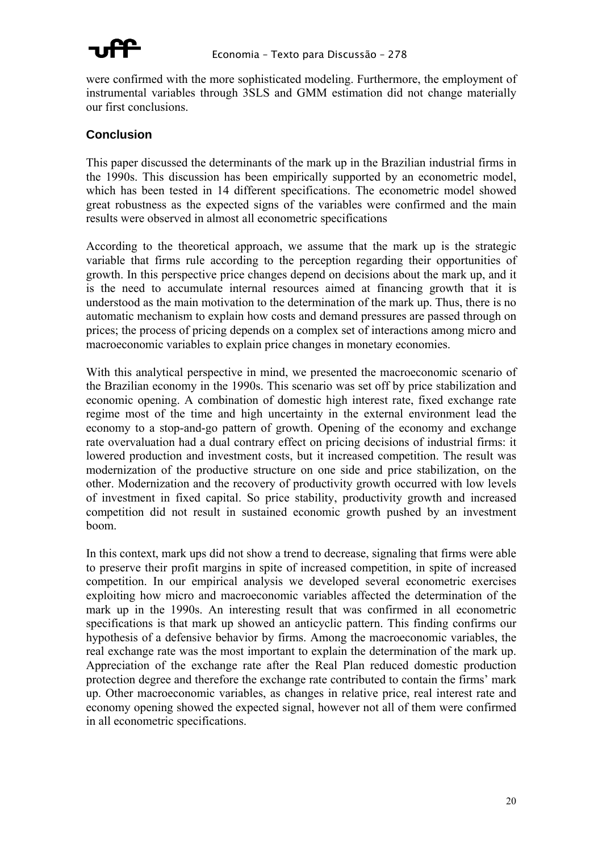

were confirmed with the more sophisticated modeling. Furthermore, the employment of instrumental variables through 3SLS and GMM estimation did not change materially our first conclusions.

### **Conclusion**

This paper discussed the determinants of the mark up in the Brazilian industrial firms in the 1990s. This discussion has been empirically supported by an econometric model, which has been tested in 14 different specifications. The econometric model showed great robustness as the expected signs of the variables were confirmed and the main results were observed in almost all econometric specifications

According to the theoretical approach, we assume that the mark up is the strategic variable that firms rule according to the perception regarding their opportunities of growth. In this perspective price changes depend on decisions about the mark up, and it is the need to accumulate internal resources aimed at financing growth that it is understood as the main motivation to the determination of the mark up. Thus, there is no automatic mechanism to explain how costs and demand pressures are passed through on prices; the process of pricing depends on a complex set of interactions among micro and macroeconomic variables to explain price changes in monetary economies.

With this analytical perspective in mind, we presented the macroeconomic scenario of the Brazilian economy in the 1990s. This scenario was set off by price stabilization and economic opening. A combination of domestic high interest rate, fixed exchange rate regime most of the time and high uncertainty in the external environment lead the economy to a stop-and-go pattern of growth. Opening of the economy and exchange rate overvaluation had a dual contrary effect on pricing decisions of industrial firms: it lowered production and investment costs, but it increased competition. The result was modernization of the productive structure on one side and price stabilization, on the other. Modernization and the recovery of productivity growth occurred with low levels of investment in fixed capital. So price stability, productivity growth and increased competition did not result in sustained economic growth pushed by an investment boom.

In this context, mark ups did not show a trend to decrease, signaling that firms were able to preserve their profit margins in spite of increased competition, in spite of increased competition. In our empirical analysis we developed several econometric exercises exploiting how micro and macroeconomic variables affected the determination of the mark up in the 1990s. An interesting result that was confirmed in all econometric specifications is that mark up showed an anticyclic pattern. This finding confirms our hypothesis of a defensive behavior by firms. Among the macroeconomic variables, the real exchange rate was the most important to explain the determination of the mark up. Appreciation of the exchange rate after the Real Plan reduced domestic production protection degree and therefore the exchange rate contributed to contain the firms' mark up. Other macroeconomic variables, as changes in relative price, real interest rate and economy opening showed the expected signal, however not all of them were confirmed in all econometric specifications.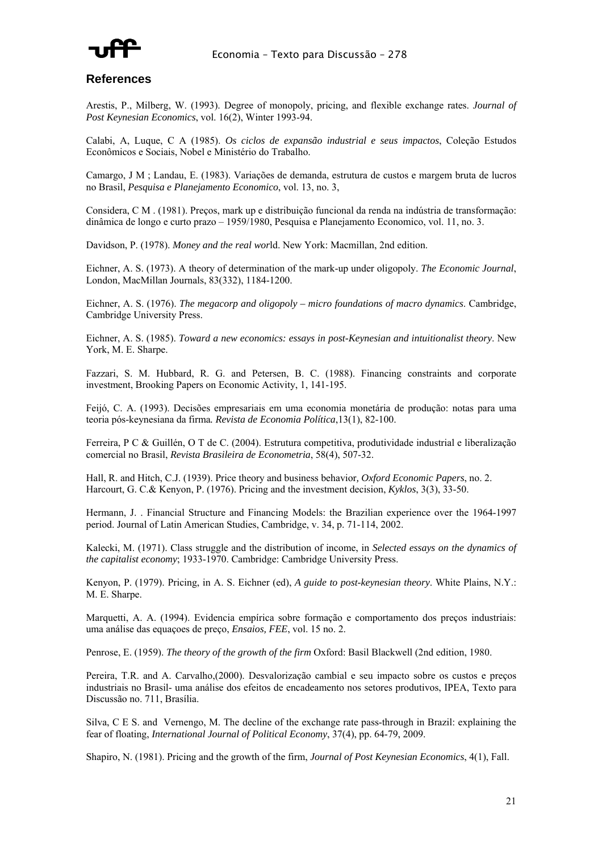

#### **References**

Arestis, P., Milberg, W. (1993). Degree of monopoly, pricing, and flexible exchange rates. *Journal of Post Keynesian Economics*, vol. 16(2), Winter 1993-94.

Calabi, A, Luque, C A (1985). *Os ciclos de expansão industrial e seus impactos*, Coleção Estudos Econômicos e Sociais, Nobel e Ministério do Trabalho.

Camargo, J M ; Landau, E. (1983). Variações de demanda, estrutura de custos e margem bruta de lucros no Brasil, *Pesquisa e Planejamento Economico*, vol. 13, no. 3,

Considera, C M . (1981). Preços, mark up e distribuição funcional da renda na indústria de transformação: dinâmica de longo e curto prazo – 1959/1980, Pesquisa e Planejamento Economico, vol. 11, no. 3.

Davidson, P. (1978). *Money and the real wor*ld. New York: Macmillan, 2nd edition.

Eichner, A. S. (1973). A theory of determination of the mark-up under oligopoly. *The Economic Journal*, London, MacMillan Journals, 83(332), 1184-1200.

Eichner, A. S. (1976). *The megacorp and oligopoly – micro foundations of macro dynamics*. Cambridge, Cambridge University Press.

Eichner, A. S. (1985). *Toward a new economics: essays in post-Keynesian and intuitionalist theory*. New York, M. E. Sharpe.

Fazzari, S. M. Hubbard, R. G. and Petersen, B. C. (1988). Financing constraints and corporate investment, Brooking Papers on Economic Activity, 1, 141-195.

Feijó, C. A. (1993). Decisões empresariais em uma economia monetária de produção: notas para uma teoria pós-keynesiana da firma*. Revista de Economia Política*,13(1), 82-100.

Ferreira, P C & Guillén, O T de C. (2004). Estrutura competitiva, produtividade industrial e liberalização comercial no Brasil, *Revista Brasileira de Econometria*, 58(4), 507-32.

Hall, R. and Hitch, C.J. (1939). Price theory and business behavior*, Oxford Economic Papers*, no. 2. Harcourt, G. C.& Kenyon, P. (1976). Pricing and the investment decision, *Kyklos*, 3(3), 33-50.

Hermann, J. . Financial Structure and Financing Models: the Brazilian experience over the 1964-1997 period. Journal of Latin American Studies, Cambridge, v. 34, p. 71-114, 2002.

Kalecki, M. (1971). Class struggle and the distribution of income, in *Selected essays on the dynamics of the capitalist economy*; 1933-1970. Cambridge: Cambridge University Press.

Kenyon, P. (1979). Pricing, in A. S. Eichner (ed), *A guide to post-keynesian theory*. White Plains, N.Y.: M. E. Sharpe.

Marquetti, A. A. (1994). Evidencia empírica sobre formação e comportamento dos preços industriais: uma análise das equaçoes de preço, *Ensaios, FEE*, vol. 15 no. 2.

Penrose, E. (1959). *The theory of the growth of the firm* Oxford: Basil Blackwell (2nd edition, 1980.

Pereira, T.R. and A. Carvalho,(2000). Desvalorização cambial e seu impacto sobre os custos e preços industriais no Brasil- uma análise dos efeitos de encadeamento nos setores produtivos, IPEA, Texto para Discussão no. 711, Brasília.

Silva, C E S. and Vernengo, M. The decline of the exchange rate pass-through in Brazil: explaining the fear of floating, *International Journal of Political Economy*, 37(4), pp. 64-79, 2009.

Shapiro, N. (1981). Pricing and the growth of the firm, *Journal of Post Keynesian Economics*, 4(1), Fall.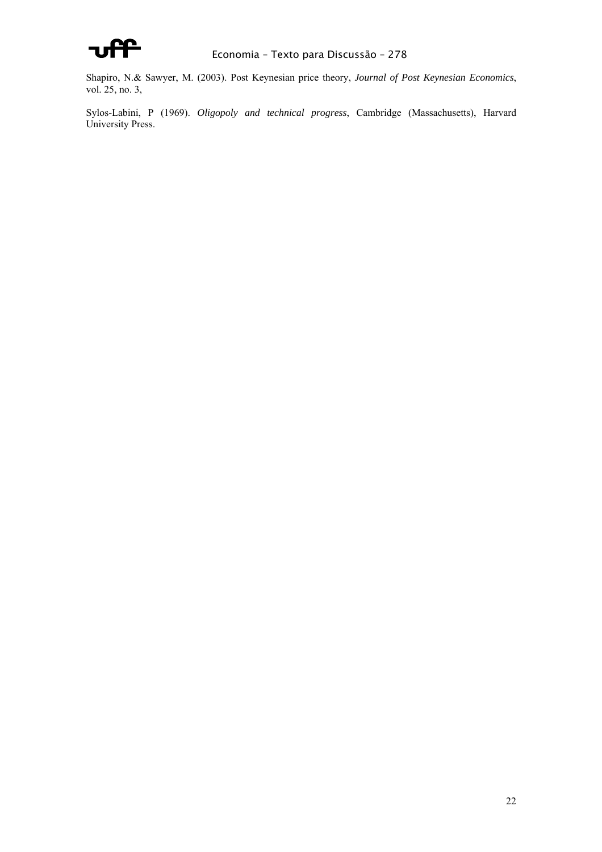

Shapiro, N.& Sawyer, M. (2003). Post Keynesian price theory, *Journal of Post Keynesian Economics*, vol. 25, no. 3,

Sylos-Labini, P (1969). *Oligopoly and technical progress*, Cambridge (Massachusetts), Harvard University Press.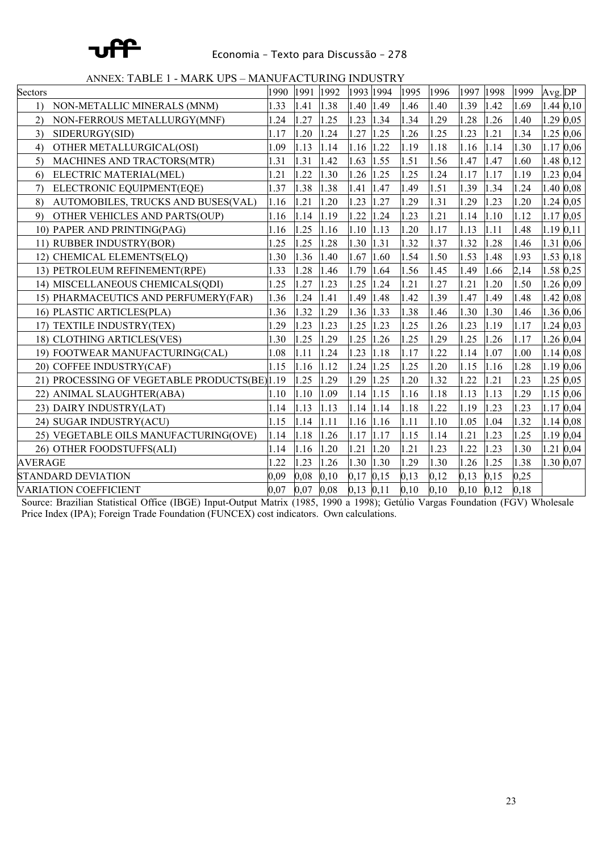

#### Economia – Texto para Discussão – 278

ANNEX: TABLE 1 - MARK UPS – MANUFACTURING INDUSTRY

| Sectors                                       | 1990 | 1991 | 1992 | 1993 1994 |           | 1995 | 1996 | 1997 | 1998 | 1999 | Avg.DP         |              |
|-----------------------------------------------|------|------|------|-----------|-----------|------|------|------|------|------|----------------|--------------|
| NON-METALLIC MINERALS (MNM)<br>1)             | 1.33 | 1.41 | 1.38 | 1.40      | 1.49      | l.46 | 1.40 | 1.39 | 1.42 | 1.69 |                | $1.44\,0.10$ |
| NON-FERROUS METALLURGY(MNF)<br>(2)            | .24  | .27  | 1.25 | 1.23      | 1.34      | .34  | 1.29 | 1.28 | .26  | 1.40 |                | 1.29 0.05    |
| 3)<br>SIDERURGY(SID)                          | 1.17 | .20  | 1.24 | 1.27      | 1.25      | .26  | 1.25 | 1.23 | .21  | 1.34 |                | 1.25 0,06    |
| OTHER METALLURGICAL(OSI)<br>4)                | 1.09 | 1.13 | 1.14 | 1.16      | 1.22      | 1.19 | 1.18 | 1.16 | 1.14 | 1.30 | 1.17 0,06      |              |
| MACHINES AND TRACTORS(MTR)<br>5)              | 1.31 | 1.31 | 1.42 | 1.63      | 1.55      | 1.51 | 1.56 | 1.47 | 1.47 | 1.60 | 1.48 0,12      |              |
| ELECTRIC MATERIAL(MEL)<br>6)                  | .21  | .22  | 1.30 | 1.26      | 1.25      | .25  | 1.24 | 1.17 | 1.17 | 1.19 |                | 1.23 0,04    |
| ELECTRONIC EQUIPMENT(EQE)<br>7)               | 1.37 | 1.38 | 1.38 | 1.41      | 1.47      | .49  | 1.51 | 1.39 | 1.34 | 1.24 |                | 1.40 0,08    |
| AUTOMOBILES, TRUCKS AND BUSES(VAL)<br>8)      | 1.16 | 1.21 | 1.20 | 1.23      | 1.27      | .29  | 1.31 | 1.29 | 1.23 | 1.20 | 1.24 0,05      |              |
| OTHER VEHICLES AND PARTS(OUP)<br>9)           | 1.16 | 1.14 | 1.19 | 1.22      | <b>24</b> | .23  | 1.21 | 1.14 | 1.10 | 1.12 | 1.17 0,05      |              |
| 10) PAPER AND PRINTING(PAG)                   | 1.16 | 1.25 | 1.16 | 1.10      | 1.13      | 1.20 | 1.17 | 1.13 | 1.11 | 1.48 | $1.19 \, 0.11$ |              |
| 11) RUBBER INDUSTRY(BOR)                      | 1.25 | 1.25 | 1.28 | 1.30      | 1.31      | 1.32 | 1.37 | 1.32 | 1.28 | 1.46 | 1.31 0,06      |              |
| 12) CHEMICAL ELEMENTS(ELQ)                    | 1.30 | 1.36 | 1.40 | 1.67      | 1.60      | 1.54 | 1.50 | 1.53 | 1.48 | 1.93 | 1.53 0,18      |              |
| 13) PETROLEUM REFINEMENT(RPE)                 | 1.33 | 1.28 | 1.46 | 1.79      | 1.64      | 1.56 | 1.45 | 1.49 | 1.66 | 2,14 | 1.58 0,25      |              |
| 14) MISCELLANEOUS CHEMICALS(QDI)              | 1.25 | 1.27 | 1.23 | 1.25      | 1.24      | 1.21 | 1.27 | 1.21 | 1.20 | 1.50 | 1.26 0,09      |              |
| 15) PHARMACEUTICS AND PERFUMERY(FAR)          | 1.36 | 1.24 | 1.41 | 1.49      | 1.48      | 1.42 | 1.39 | 1.47 | 1.49 | 1.48 | 1.42 0,08      |              |
| 16) PLASTIC ARTICLES(PLA)                     | 1.36 | 1.32 | 1.29 | 1.36      | 1.33      | 1.38 | 1.46 | 1.30 | 1.30 | 1.46 | 1.36 0,06      |              |
| 17) TEXTILE INDUSTRY(TEX)                     | .29  | 1.23 | 1.23 | 1.25      | 1.23      | .25  | 1.26 | 1.23 | 1.19 | 1.17 |                | 1.24 0,03    |
| 18) CLOTHING ARTICLES(VES)                    | 1.30 | .25  | 1.29 | 1.25      | .26       | .25  | 1.29 | 1.25 | 1.26 | 1.17 |                | 1.26 0,04    |
| 19) FOOTWEAR MANUFACTURING(CAL)               | 1.08 | 1.11 | 1.24 | 1.23      | 1.18      | 1.17 | 1.22 | 1.14 | 1.07 | 1.00 | 1.14 0.08      |              |
| 20) COFFEE INDUSTRY(CAF)                      | 1.15 | 1.16 | 1.12 | 1.24      | 1.25      | .25  | 1.20 | 1.15 | 1.16 | 1.28 | 1.19 0,06      |              |
| 21) PROCESSING OF VEGETABLE PRODUCTS(BE) 1.19 |      | 1.25 | 1.29 | 1.29      | 1.25      | .20  | 1.32 | 1.22 | 1.21 | 1.23 |                | 1.25 0,05    |
| 22) ANIMAL SLAUGHTER(ABA)                     | 1.10 | 1.10 | 1.09 | 1.14      | 1.15      | 1.16 | 1.18 | 1.13 | 1.13 | 1.29 | 1.15 0,06      |              |
| 23) DAIRY INDUSTRY(LAT)                       | 1.14 | 1.13 | 1.13 | 1.14      | 1.14      | 1.18 | 1.22 | 1.19 | 1.23 | 1.23 | $1.17$ 0,04    |              |
| 24) SUGAR INDUSTRY(ACU)                       | 1.15 | 1.14 | 1.11 | 1.16      | 1.16      | 1.11 | 1.10 | 1.05 | 1.04 | 1.32 | 1.14 0,08      |              |
| 25) VEGETABLE OILS MANUFACTURING(OVE)         | 1.14 | 1.18 | 1.26 | 1.17      | 1.17      | 1.15 | 1.14 | 1.21 | 1.23 | 1.25 | 1.19 0,04      |              |
| 26) OTHER FOODSTUFFS(ALI)                     | 1.14 | 1.16 | 1.20 | 1.21      | 1.20      | 1.21 | 1.23 | 1.22 | .23  | 1.30 | 1.21           | 0,04         |
| <b>AVERAGE</b>                                | .22  | 1.23 | 1.26 | 1.30      | 1.30      | 1.29 | 1.30 | 1.26 | 1.25 | 1.38 |                | 1.30 0,07    |
| <b>STANDARD DEVIATION</b>                     | 0.09 | 0,08 | 0,10 | 0,17      | 0,15      | 0,13 | 0,12 | 0.13 | 0,15 | 0,25 |                |              |
| <b>VARIATION COEFFICIENT</b>                  | 0.07 | 0,07 | 0.08 | 0,13      | 0,11      | 0,10 | 0,10 | 0,10 | 0,12 | 0,18 |                |              |

Source: Brazilian Statistical Office (IBGE) Input-Output Matrix (1985, 1990 a 1998); Getúlio Vargas Foundation (FGV) Wholesale Price Index (IPA); Foreign Trade Foundation (FUNCEX) cost indicators. Own calculations.